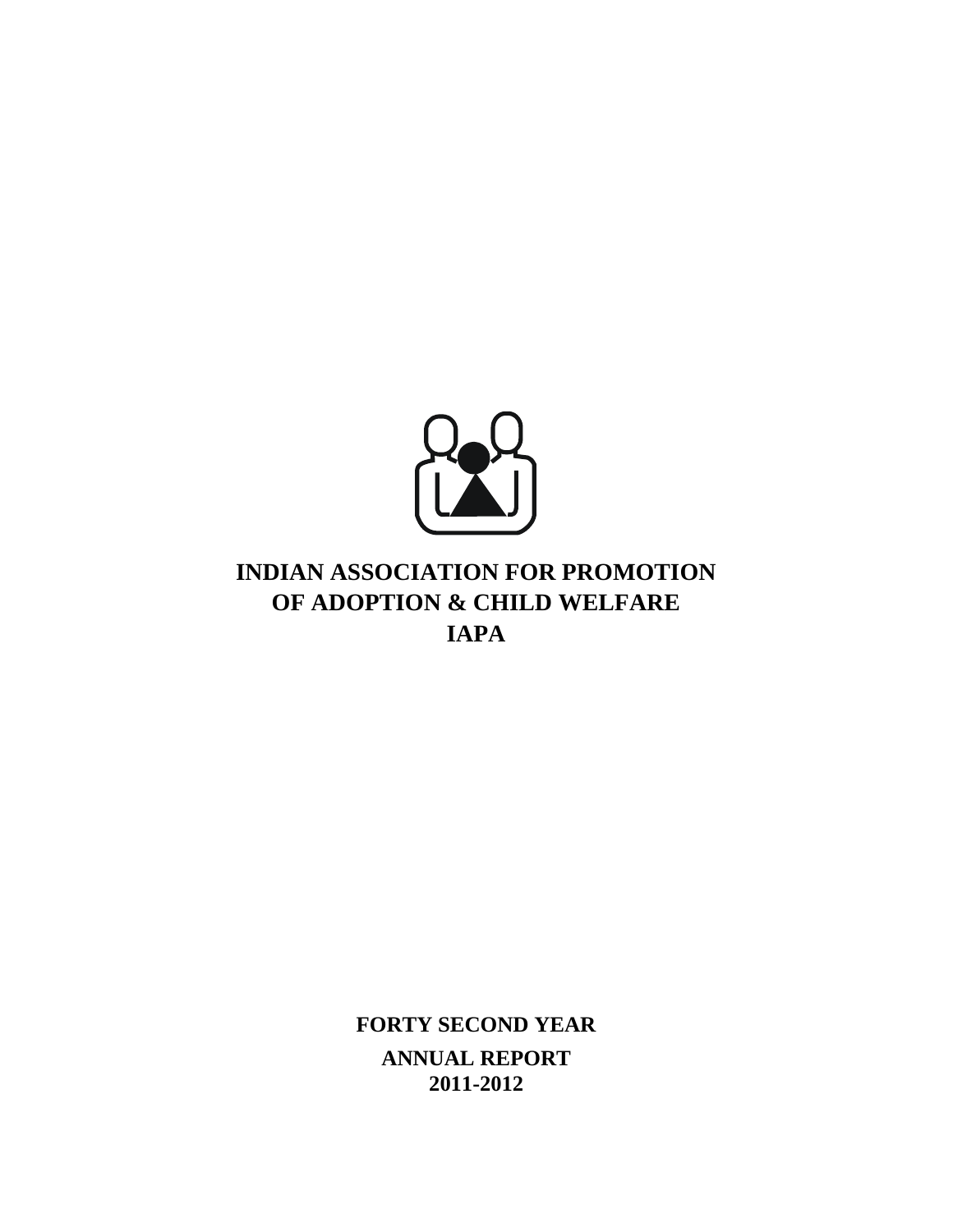

# **INDIAN ASSOCIATION FOR PROMOTION OF ADOPTION & CHILD WELFARE IAPA**

**FORTY SECOND YEAR ANNUAL REPORT 2011-2012**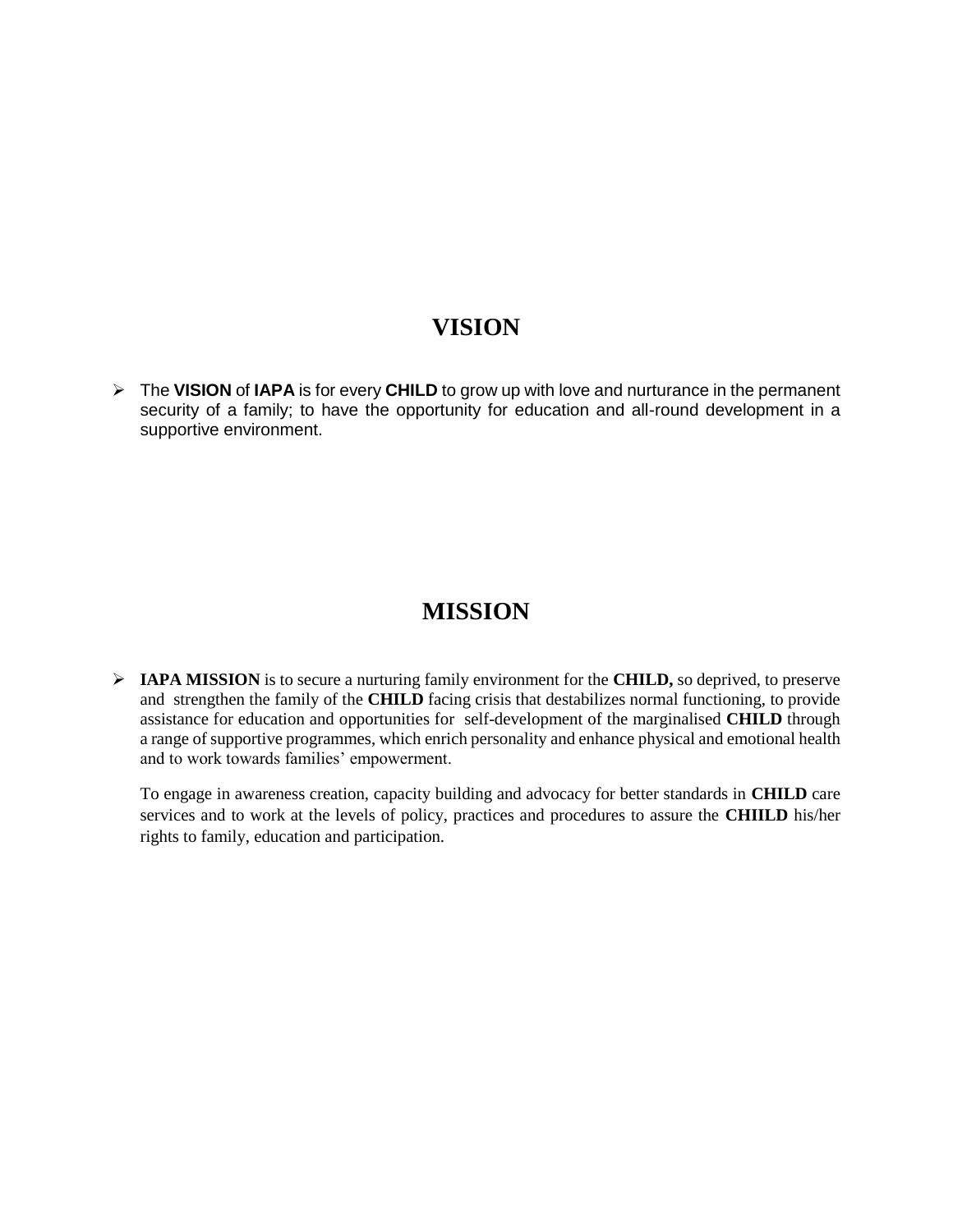## **VISION**

 The **VISION** of **IAPA** is for every **CHILD** to grow up with love and nurturance in the permanent security of a family; to have the opportunity for education and all-round development in a supportive environment.

# **MISSION**

 **IAPA MISSION** is to secure a nurturing family environment for the **CHILD,** so deprived, to preserve and strengthen the family of the **CHILD** facing crisis that destabilizes normal functioning, to provide assistance for education and opportunities for self-development of the marginalised **CHILD** through a range of supportive programmes, which enrich personality and enhance physical and emotional health and to work towards families' empowerment.

To engage in awareness creation, capacity building and advocacy for better standards in **CHILD** care services and to work at the levels of policy, practices and procedures to assure the **CHIILD** his/her rights to family, education and participation.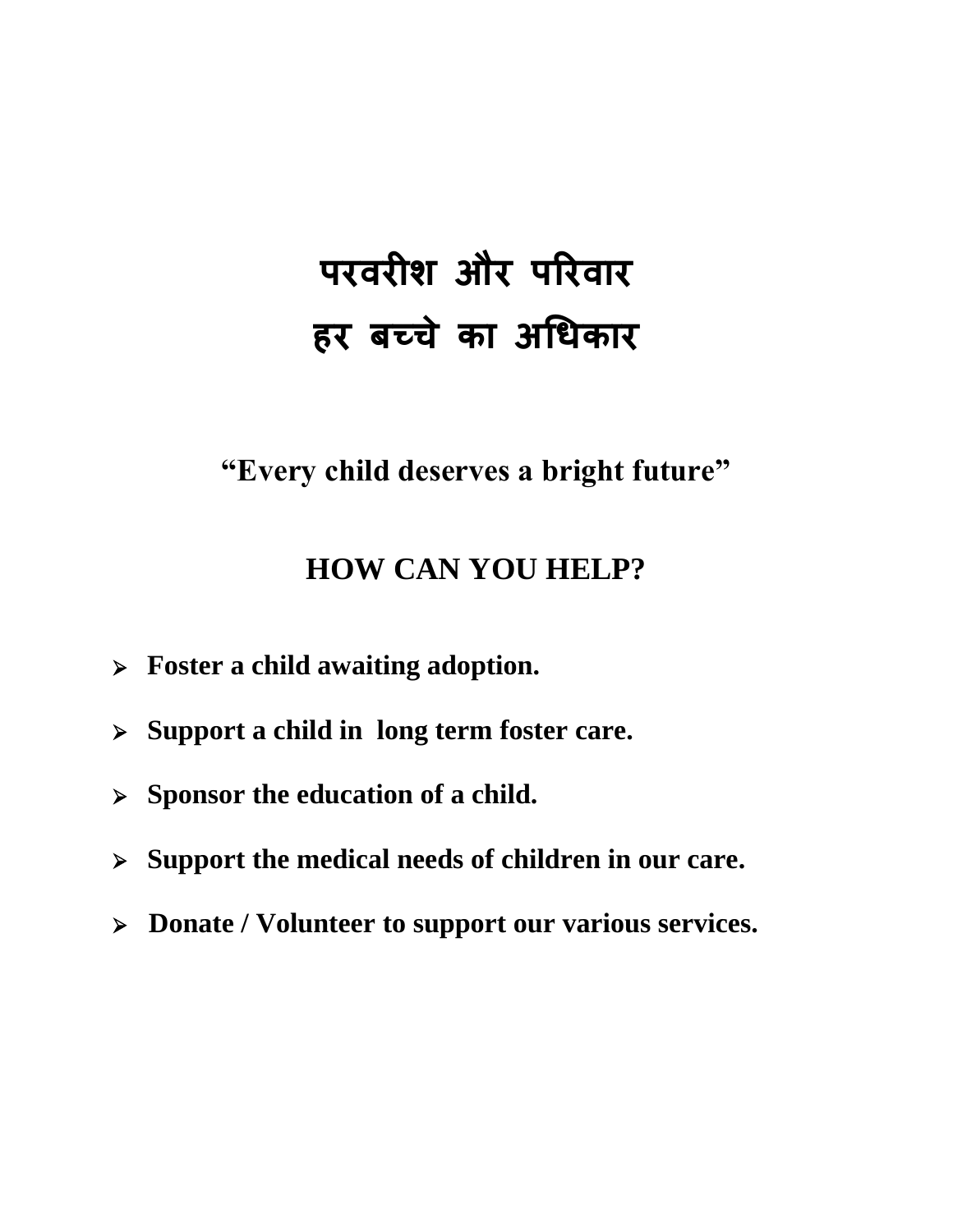# **परवरीश और पररवार हर बच्चे का अधिकार**

**"Every child deserves a bright future"**

# **HOW CAN YOU HELP?**

- **Foster a child awaiting adoption.**
- **Support a child in long term foster care.**
- **Sponsor the education of a child.**
- **Support the medical needs of children in our care.**
- **Donate / Volunteer to support our various services.**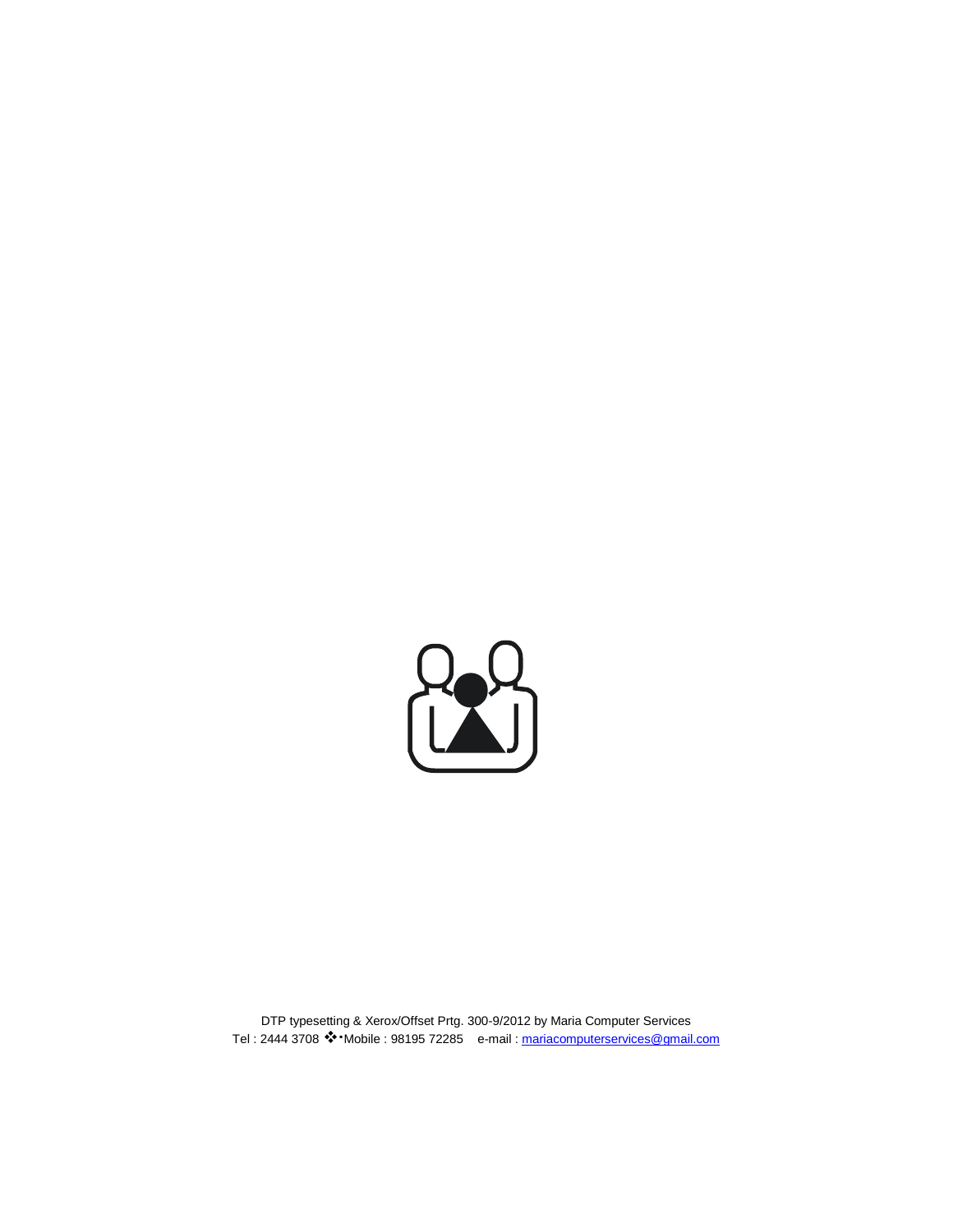

DTP typesetting & Xerox/Offset Prtg. 300-9/2012 by Maria Computer Services Tel: 2444 3708 \*\*\*Mobile : 98195 72285 e-mail : [mariacomputerservices@gmail.com](mailto:mariacomputerservices@gmail.com)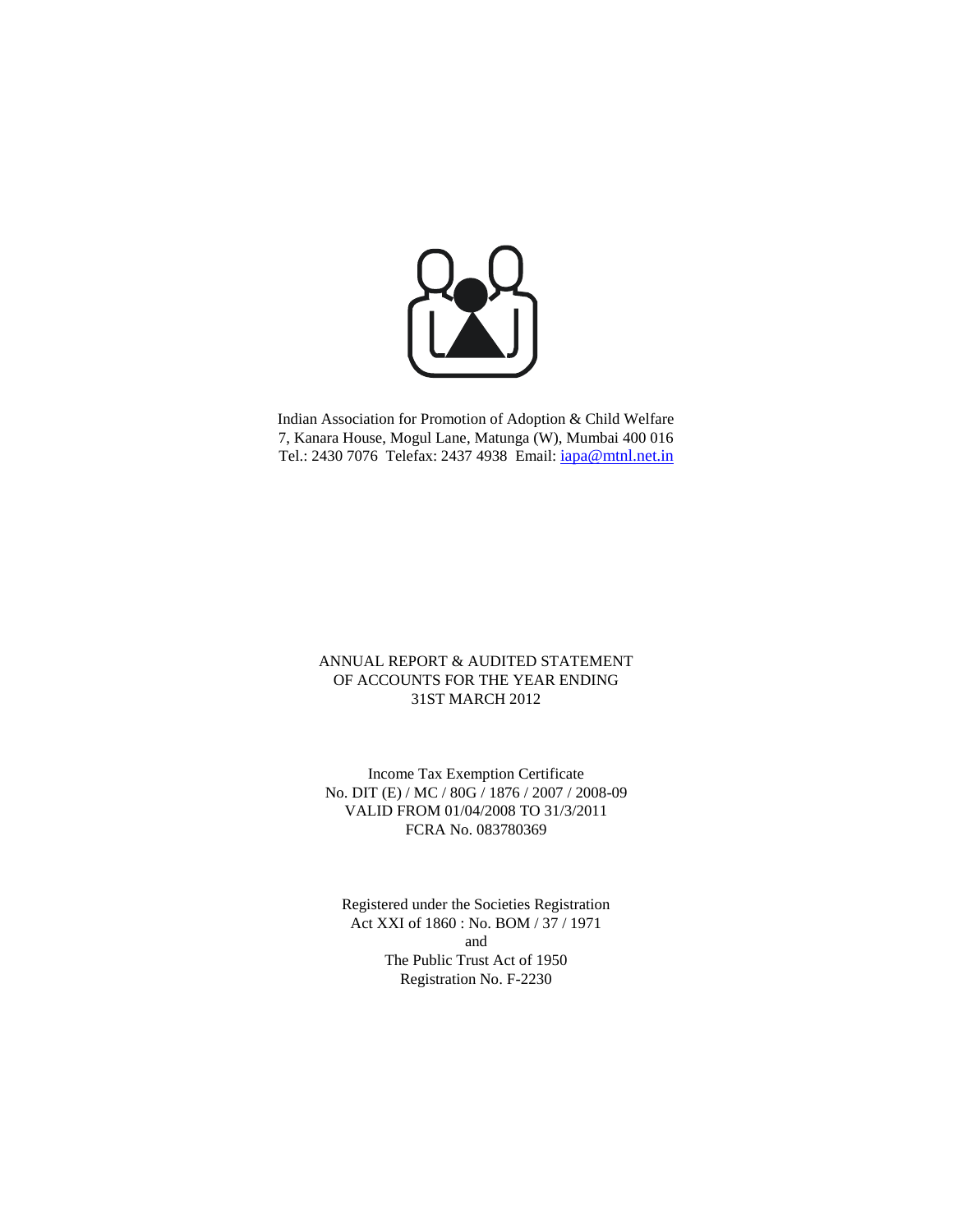

Indian Association for Promotion of Adoption & Child Welfare 7, Kanara House, Mogul Lane, Matunga (W), Mumbai 400 016 Tel.: 2430 7076 Telefax: 2437 4938 Email: [iapa@mtnl.net.in](mailto:iapa@mtnl.net.in)

#### ANNUAL REPORT & AUDITED STATEMENT OF ACCOUNTS FOR THE YEAR ENDING 31ST MARCH 2012

Income Tax Exemption Certificate No. DIT (E) / MC / 80G / 1876 / 2007 / 2008-09 VALID FROM 01/04/2008 TO 31/3/2011 FCRA No. 083780369

Registered under the Societies Registration Act XXI of 1860 : No. BOM / 37 / 1971 and The Public Trust Act of 1950 Registration No. F-2230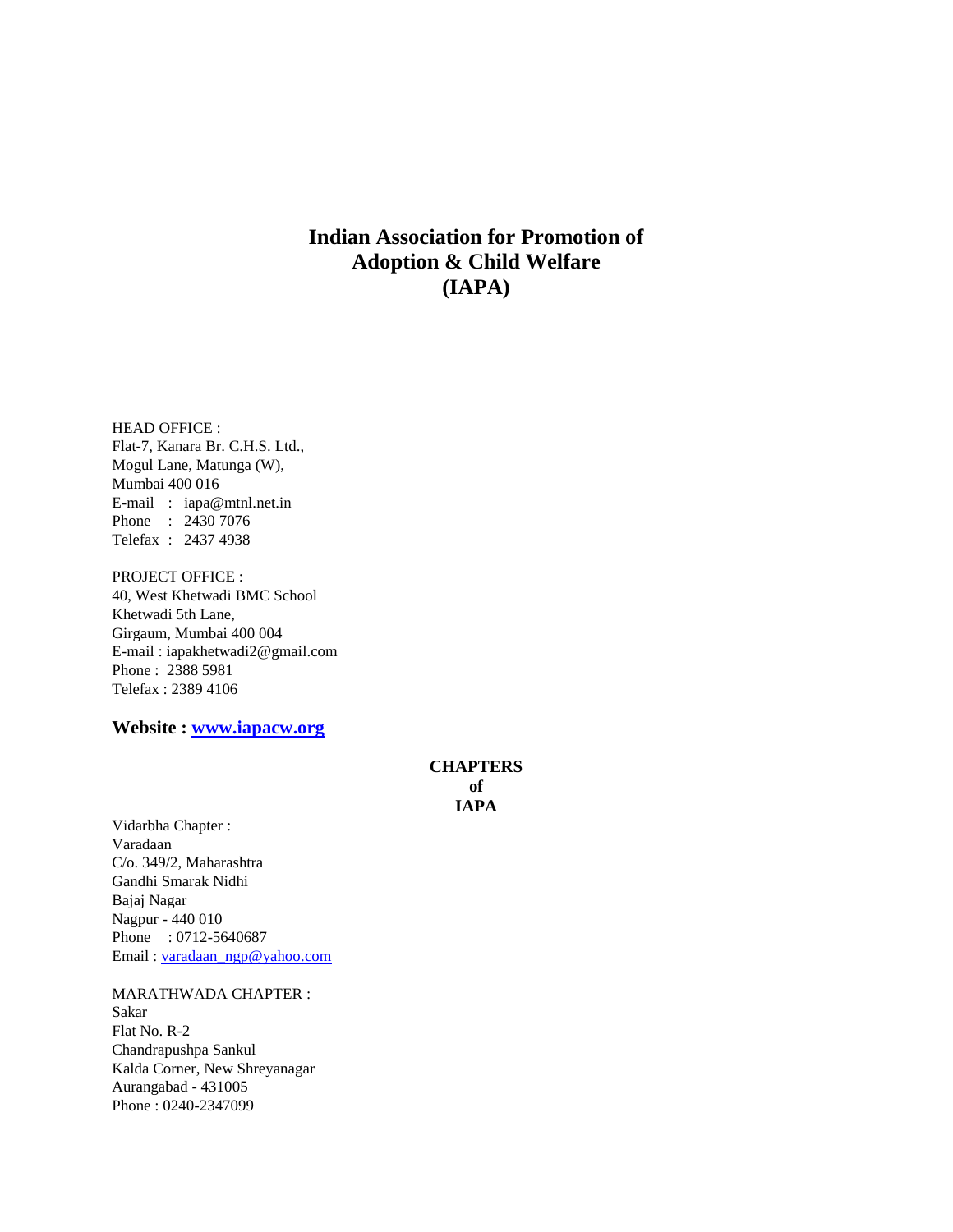#### **Indian Association for Promotion of Adoption & Child Welfare (IAPA)**

HEAD OFFICE : Flat-7, Kanara Br. C.H.S. Ltd., Mogul Lane, Matunga (W), Mumbai 400 016 E-mail : iapa@mtnl.net.in Phone : 2430 7076 Telefax : 2437 4938

PROJECT OFFICE : 40, West Khetwadi BMC School Khetwadi 5th Lane, Girgaum, Mumbai 400 004 E-mail : iapakhetwadi2@gmail.com Phone : 2388 5981 Telefax : 2389 4106

**Website : [www.iapacw.org](http://www.iapacw.org/)**

#### **CHAPTERS of IAPA**

Vidarbha Chapter : Varadaan C/o. 349/2, Maharashtra Gandhi Smarak Nidhi Bajaj Nagar Nagpur - 440 010 Phone : 0712-5640687 Email [: varadaan\\_ngp@yahoo.com](mailto:varadaan_ngp@yahoo.com)

#### MARATHWADA CHAPTER :

Sakar Flat No. R-2 Chandrapushpa Sankul Kalda Corner, New Shreyanagar Aurangabad - 431005 Phone : 0240-2347099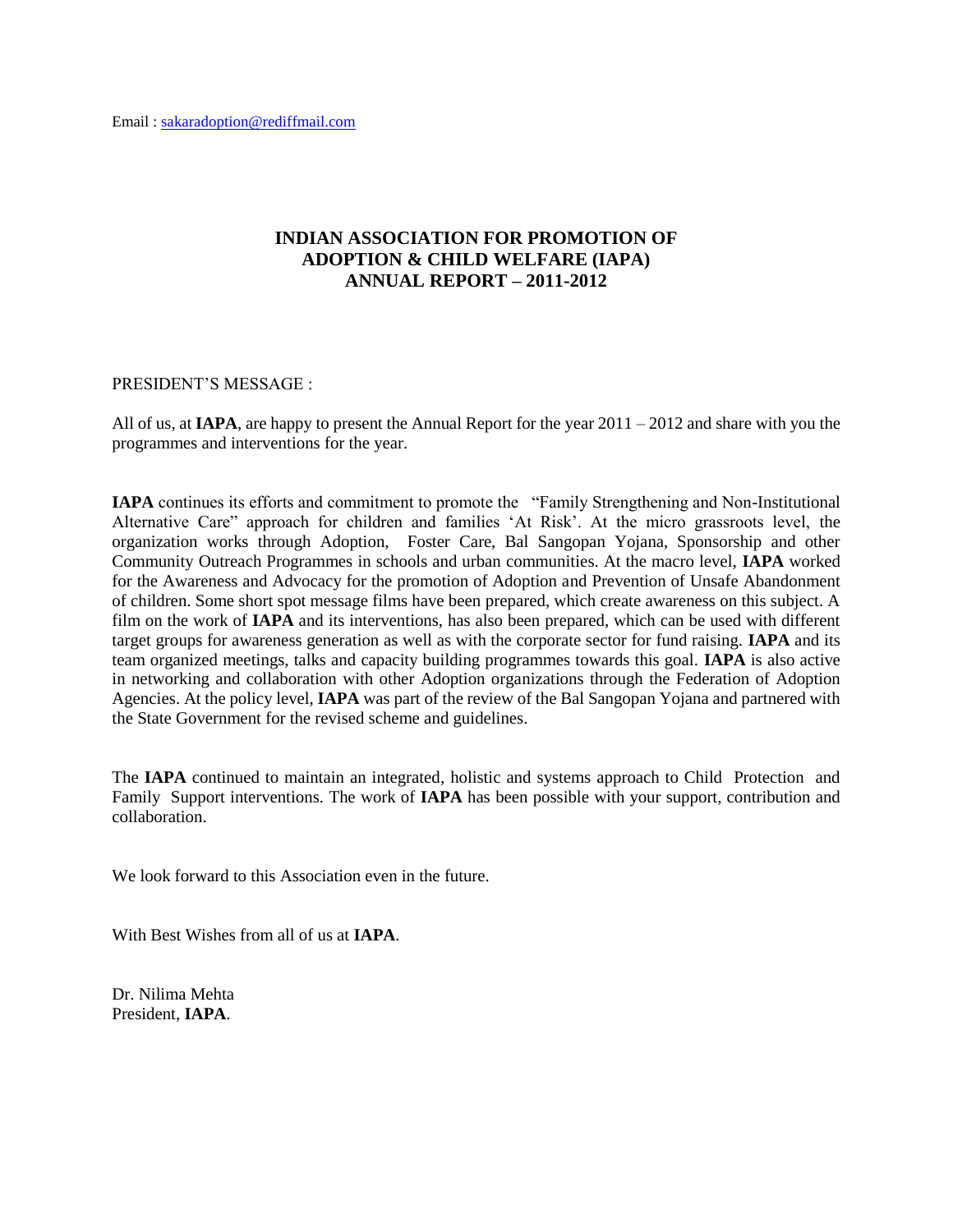#### **INDIAN ASSOCIATION FOR PROMOTION OF ADOPTION & CHILD WELFARE (IAPA) ANNUAL REPORT – 2011-2012**

#### PRESIDENT'S MESSAGE :

All of us, at **IAPA**, are happy to present the Annual Report for the year 2011 – 2012 and share with you the programmes and interventions for the year.

**IAPA** continues its efforts and commitment to promote the "Family Strengthening and Non-Institutional Alternative Care" approach for children and families 'At Risk'. At the micro grassroots level, the organization works through Adoption, Foster Care, Bal Sangopan Yojana, Sponsorship and other Community Outreach Programmes in schools and urban communities. At the macro level, **IAPA** worked for the Awareness and Advocacy for the promotion of Adoption and Prevention of Unsafe Abandonment of children. Some short spot message films have been prepared, which create awareness on this subject. A film on the work of **IAPA** and its interventions, has also been prepared, which can be used with different target groups for awareness generation as well as with the corporate sector for fund raising. **IAPA** and its team organized meetings, talks and capacity building programmes towards this goal. **IAPA** is also active in networking and collaboration with other Adoption organizations through the Federation of Adoption Agencies. At the policy level, **IAPA** was part of the review of the Bal Sangopan Yojana and partnered with the State Government for the revised scheme and guidelines.

The **IAPA** continued to maintain an integrated, holistic and systems approach to Child Protection and Family Support interventions. The work of **IAPA** has been possible with your support, contribution and collaboration.

We look forward to this Association even in the future.

With Best Wishes from all of us at **IAPA**.

Dr. Nilima Mehta President, **IAPA**.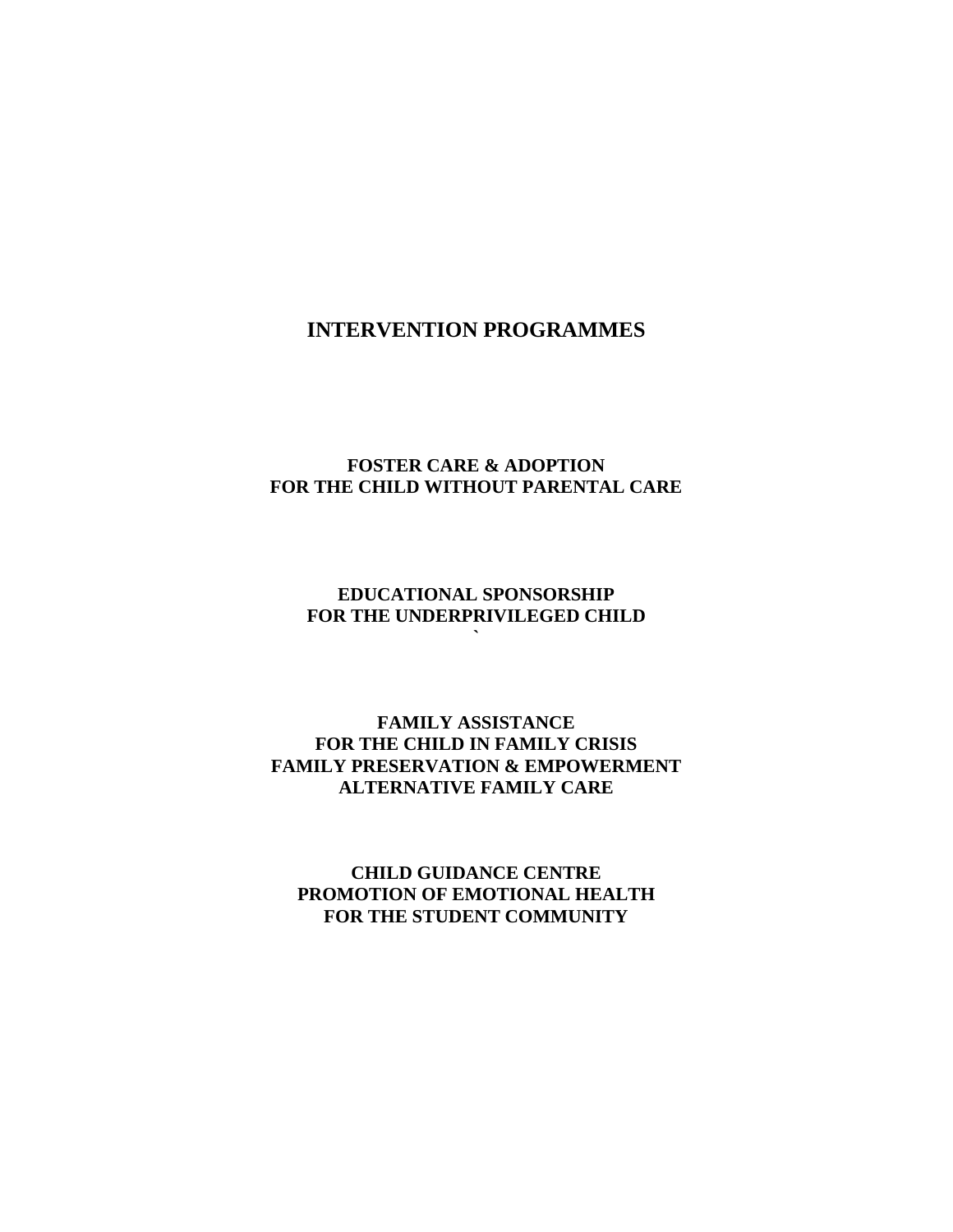#### **INTERVENTION PROGRAMMES**

#### **FOSTER CARE & ADOPTION FOR THE CHILD WITHOUT PARENTAL CARE**

#### **EDUCATIONAL SPONSORSHIP FOR THE UNDERPRIVILEGED CHILD `**

#### **FAMILY ASSISTANCE FOR THE CHILD IN FAMILY CRISIS FAMILY PRESERVATION & EMPOWERMENT ALTERNATIVE FAMILY CARE**

#### **CHILD GUIDANCE CENTRE PROMOTION OF EMOTIONAL HEALTH FOR THE STUDENT COMMUNITY**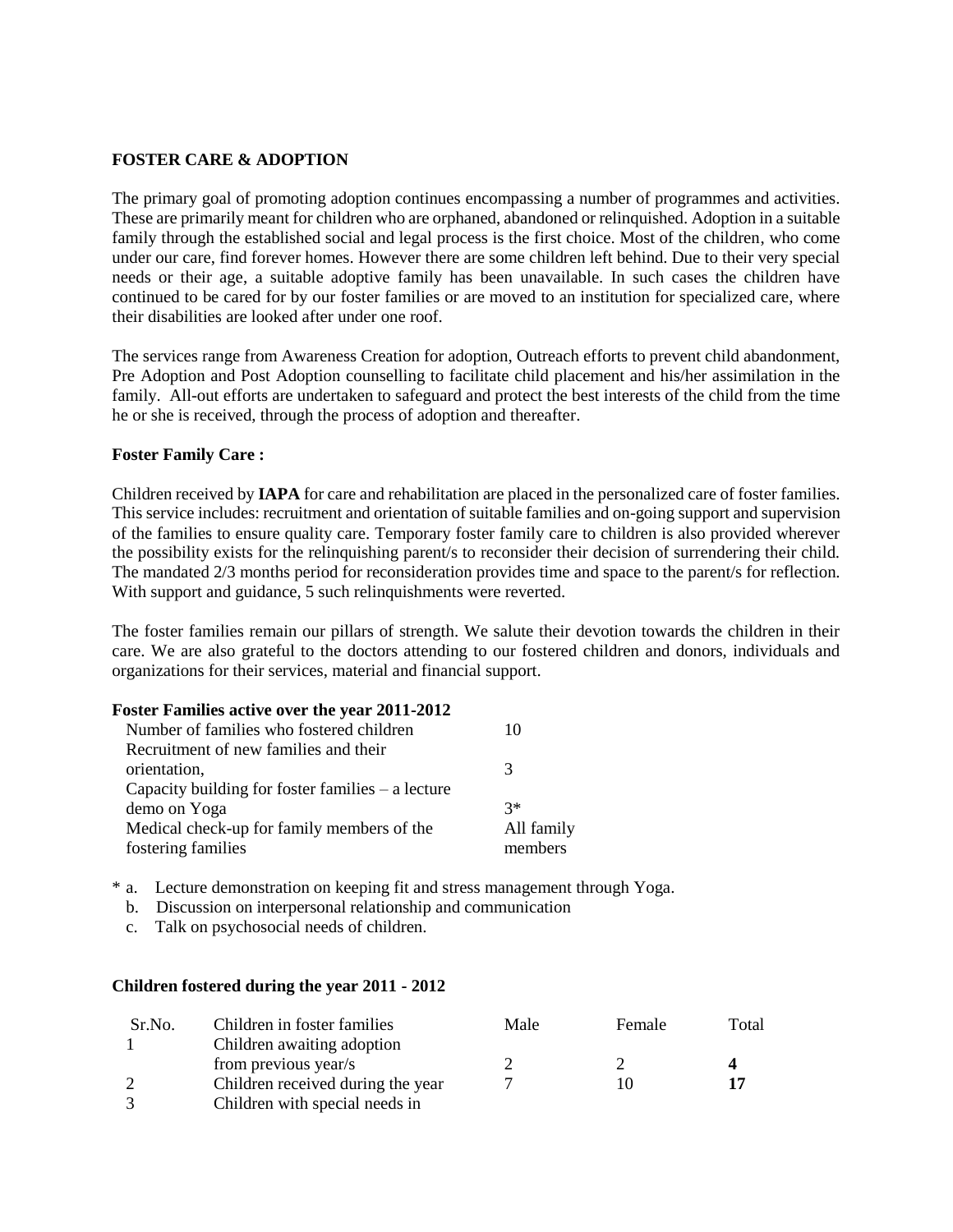#### **FOSTER CARE & ADOPTION**

The primary goal of promoting adoption continues encompassing a number of programmes and activities. These are primarily meant for children who are orphaned, abandoned or relinquished. Adoption in a suitable family through the established social and legal process is the first choice. Most of the children, who come under our care, find forever homes. However there are some children left behind. Due to their very special needs or their age, a suitable adoptive family has been unavailable. In such cases the children have continued to be cared for by our foster families or are moved to an institution for specialized care, where their disabilities are looked after under one roof.

The services range from Awareness Creation for adoption, Outreach efforts to prevent child abandonment, Pre Adoption and Post Adoption counselling to facilitate child placement and his/her assimilation in the family. All-out efforts are undertaken to safeguard and protect the best interests of the child from the time he or she is received, through the process of adoption and thereafter.

#### **Foster Family Care :**

Children received by **IAPA** for care and rehabilitation are placed in the personalized care of foster families. This service includes: recruitment and orientation of suitable families and on-going support and supervision of the families to ensure quality care. Temporary foster family care to children is also provided wherever the possibility exists for the relinquishing parent/s to reconsider their decision of surrendering their child. The mandated 2/3 months period for reconsideration provides time and space to the parent/s for reflection. With support and guidance, 5 such relinquishments were reverted.

The foster families remain our pillars of strength. We salute their devotion towards the children in their care. We are also grateful to the doctors attending to our fostered children and donors, individuals and organizations for their services, material and financial support.

#### **Foster Families active over the year 2011-2012**

| Number of families who fostered children            | I ( )      |
|-----------------------------------------------------|------------|
| Recruitment of new families and their               |            |
| orientation,                                        |            |
| Capacity building for foster families $-$ a lecture |            |
| demo on Yoga                                        | $3*$       |
| Medical check-up for family members of the          | All family |
| fostering families                                  | members    |

- \* a. Lecture demonstration on keeping fit and stress management through Yoga.
	- b. Discussion on interpersonal relationship and communication
	- c. Talk on psychosocial needs of children.

#### **Children fostered during the year 2011 - 2012**

| Sr.No. | Children in foster families       | Male | Female | Total |
|--------|-----------------------------------|------|--------|-------|
|        | Children awaiting adoption        |      |        |       |
|        | from previous year/s              |      |        |       |
| 2      | Children received during the year |      |        | 17    |
|        | Children with special needs in    |      |        |       |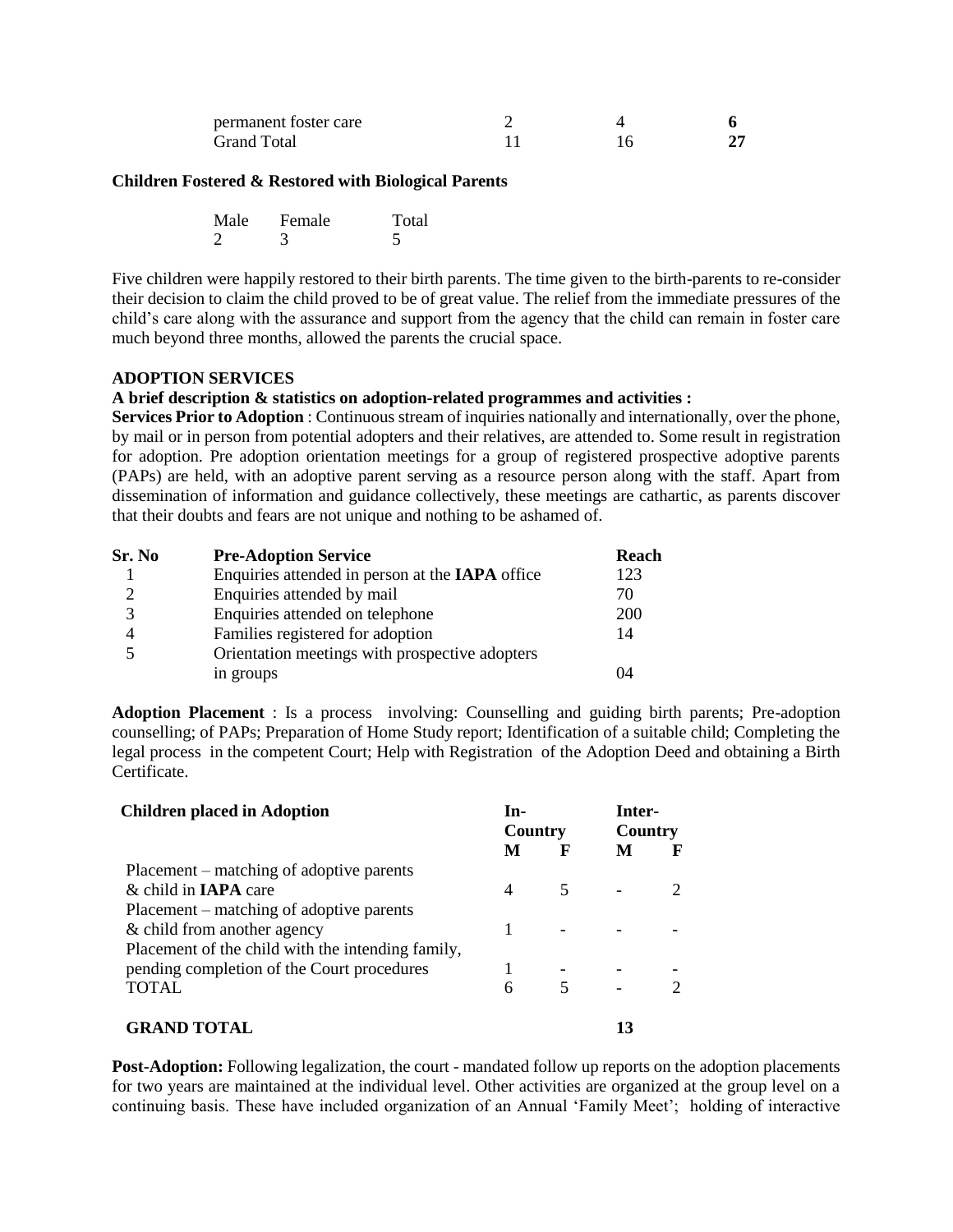| permanent foster care |  |  |
|-----------------------|--|--|
| <b>Grand Total</b>    |  |  |

#### **Children Fostered & Restored with Biological Parents**

| Male | Female | Total |
|------|--------|-------|
|      |        |       |

Five children were happily restored to their birth parents. The time given to the birth-parents to re-consider their decision to claim the child proved to be of great value. The relief from the immediate pressures of the child's care along with the assurance and support from the agency that the child can remain in foster care much beyond three months, allowed the parents the crucial space.

#### **ADOPTION SERVICES**

#### **A brief description & statistics on adoption-related programmes and activities :**

**Services Prior to Adoption** : Continuous stream of inquiries nationally and internationally, over the phone, by mail or in person from potential adopters and their relatives, are attended to. Some result in registration for adoption. Pre adoption orientation meetings for a group of registered prospective adoptive parents (PAPs) are held, with an adoptive parent serving as a resource person along with the staff. Apart from dissemination of information and guidance collectively, these meetings are cathartic, as parents discover that their doubts and fears are not unique and nothing to be ashamed of.

| Sr. No | <b>Pre-Adoption Service</b>                            | Reach |
|--------|--------------------------------------------------------|-------|
|        | Enquiries attended in person at the <b>IAPA</b> office | 123   |
|        | Enquiries attended by mail                             | 70    |
| 3      | Enquiries attended on telephone                        | 200   |
|        | Families registered for adoption                       | 14    |
|        | Orientation meetings with prospective adopters         |       |
|        | in groups                                              | 04    |

**Adoption Placement** : Is a process involving: Counselling and guiding birth parents; Pre-adoption counselling; of PAPs; Preparation of Home Study report; Identification of a suitable child; Completing the legal process in the competent Court; Help with Registration of the Adoption Deed and obtaining a Birth Certificate.

| <b>Children placed in Adoption</b>                | In-<br>Country |   | Inter-<br>Country |  |
|---------------------------------------------------|----------------|---|-------------------|--|
|                                                   | M              | F | M                 |  |
| Placement – matching of adoptive parents          |                |   |                   |  |
| $\&$ child in <b>IAPA</b> care                    | 4              | 5 |                   |  |
| Placement – matching of adoptive parents          |                |   |                   |  |
| & child from another agency                       |                |   |                   |  |
| Placement of the child with the intending family, |                |   |                   |  |
| pending completion of the Court procedures        |                |   |                   |  |
| TOTAL                                             | 6              |   |                   |  |
| GRAND TOTAL                                       |                |   |                   |  |

**Post-Adoption:** Following legalization, the court - mandated follow up reports on the adoption placements for two years are maintained at the individual level. Other activities are organized at the group level on a continuing basis. These have included organization of an Annual 'Family Meet'; holding of interactive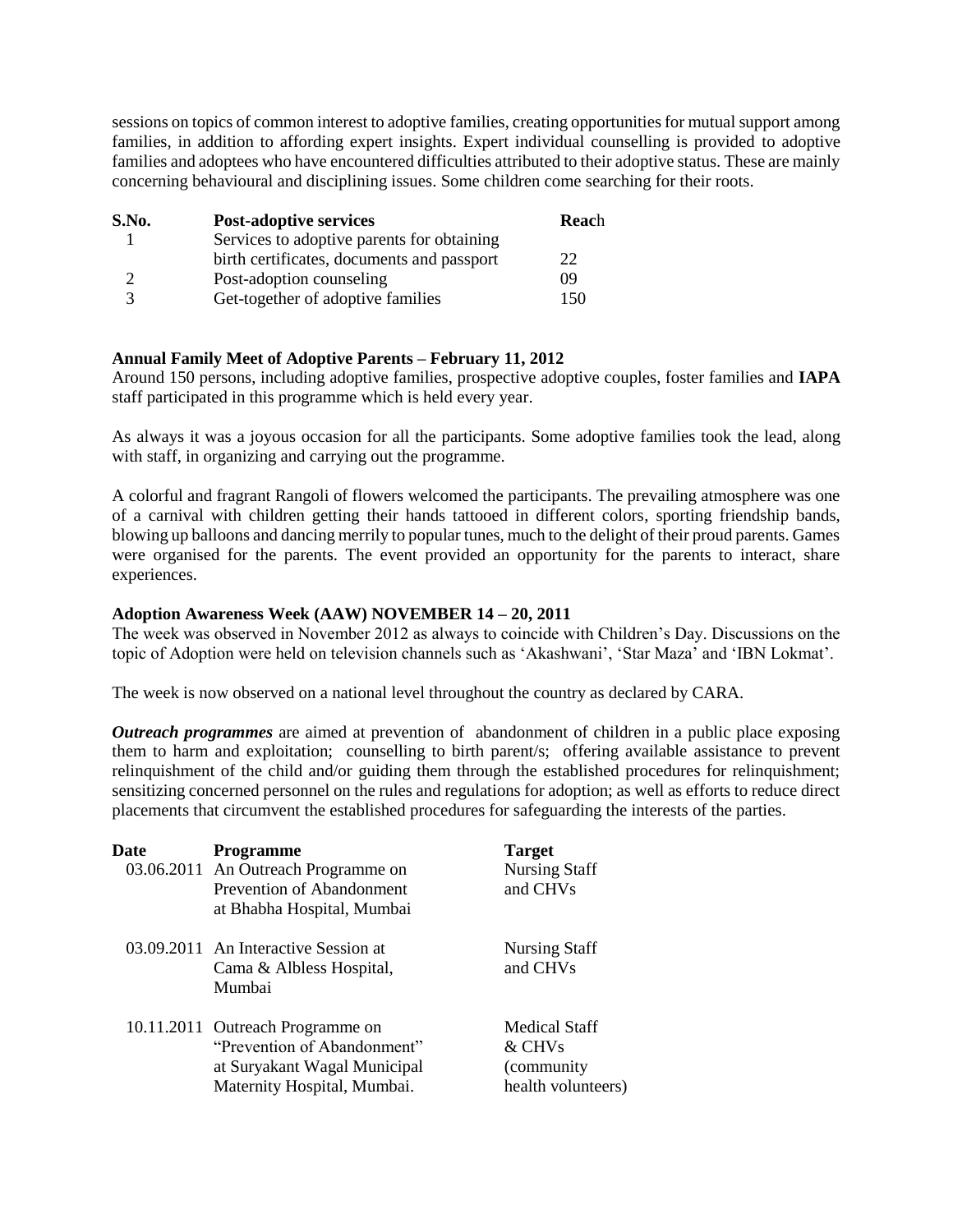sessions on topics of common interest to adoptive families, creating opportunities for mutual support among families, in addition to affording expert insights. Expert individual counselling is provided to adoptive families and adoptees who have encountered difficulties attributed to their adoptive status. These are mainly concerning behavioural and disciplining issues. Some children come searching for their roots.

| S.No. | <b>Post-adoptive services</b>              | Reach |
|-------|--------------------------------------------|-------|
|       | Services to adoptive parents for obtaining |       |
|       | birth certificates, documents and passport | 22    |
|       | Post-adoption counseling                   | 09    |
| 3     | Get-together of adoptive families          | 150   |

#### **Annual Family Meet of Adoptive Parents – February 11, 2012**

Around 150 persons, including adoptive families, prospective adoptive couples, foster families and **IAPA**  staff participated in this programme which is held every year.

As always it was a joyous occasion for all the participants. Some adoptive families took the lead, along with staff, in organizing and carrying out the programme.

A colorful and fragrant Rangoli of flowers welcomed the participants. The prevailing atmosphere was one of a carnival with children getting their hands tattooed in different colors, sporting friendship bands, blowing up balloons and dancing merrily to popular tunes, much to the delight of their proud parents. Games were organised for the parents. The event provided an opportunity for the parents to interact, share experiences.

#### **Adoption Awareness Week (AAW) NOVEMBER 14 – 20, 2011**

The week was observed in November 2012 as always to coincide with Children's Day. Discussions on the topic of Adoption were held on television channels such as 'Akashwani', 'Star Maza' and 'IBN Lokmat'.

The week is now observed on a national level throughout the country as declared by CARA.

*Outreach programmes* are aimed at prevention of abandonment of children in a public place exposing them to harm and exploitation; counselling to birth parent/s; offering available assistance to prevent relinquishment of the child and/or guiding them through the established procedures for relinquishment; sensitizing concerned personnel on the rules and regulations for adoption; as well as efforts to reduce direct placements that circumvent the established procedures for safeguarding the interests of the parties.

| Date | <b>Programme</b><br>03.06.2011 An Outreach Programme on<br>Prevention of Abandonment<br>at Bhabha Hospital, Mumbai             | <b>Target</b><br><b>Nursing Staff</b><br>and CHVs           |
|------|--------------------------------------------------------------------------------------------------------------------------------|-------------------------------------------------------------|
|      | 03.09.2011 An Interactive Session at<br>Cama & Albless Hospital,<br>Mumbai                                                     | <b>Nursing Staff</b><br>and CHVs                            |
|      | 10.11.2011 Outreach Programme on<br>"Prevention of Abandonment"<br>at Suryakant Wagal Municipal<br>Maternity Hospital, Mumbai. | Medical Staff<br>& CHVs<br>(community<br>health volunteers) |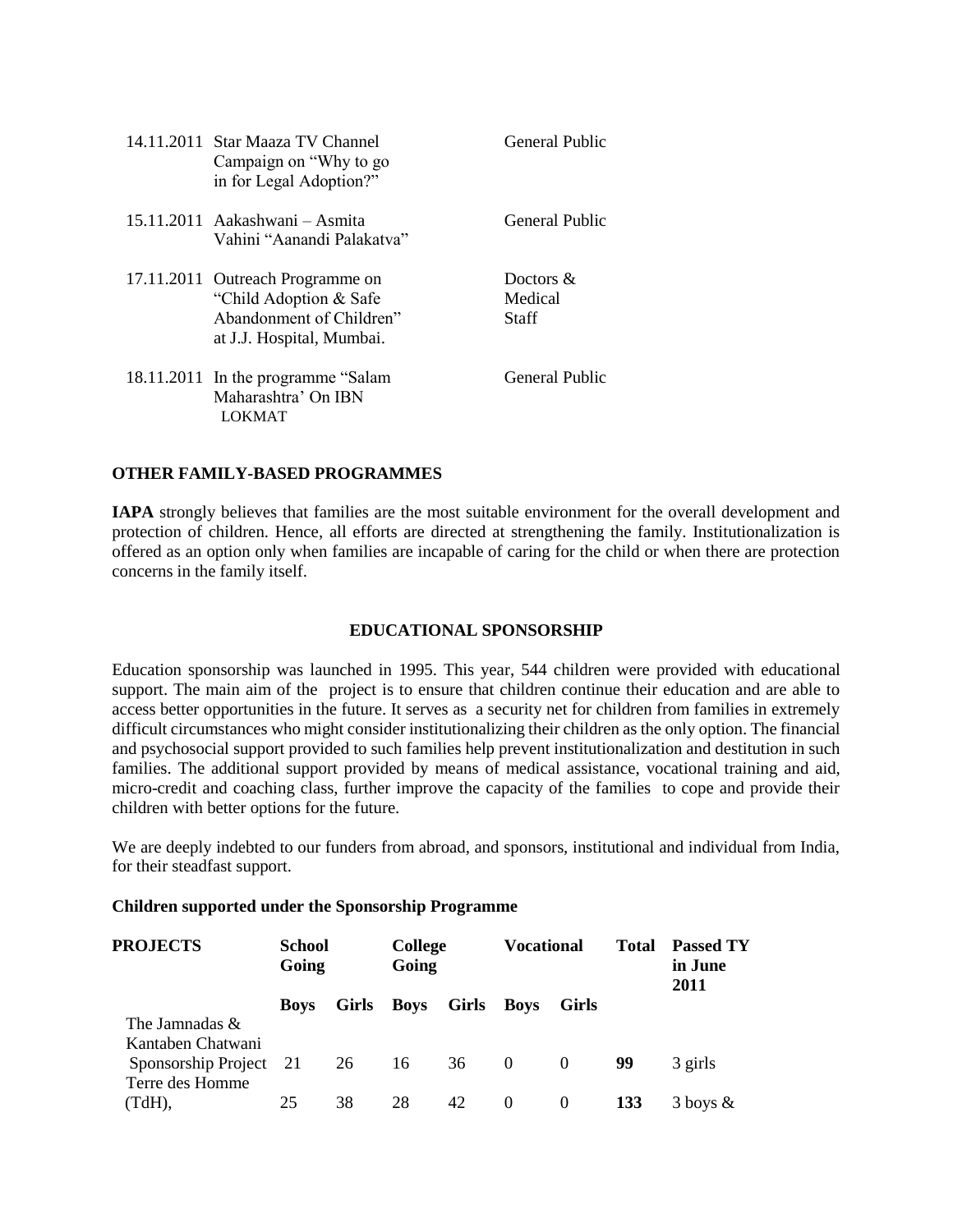| 14.11.2011 Star Maaza TV Channel<br>Campaign on "Why to go<br>in for Legal Adoption?"                                | General Public                   |
|----------------------------------------------------------------------------------------------------------------------|----------------------------------|
| 15.11.2011 Aakashwani – Asmita<br>Vahini "Aanandi Palakatva"                                                         | General Public                   |
| 17.11.2011 Outreach Programme on<br>"Child Adoption & Safe"<br>Abandonment of Children"<br>at J.J. Hospital, Mumbai. | Doctors $\&$<br>Medical<br>Staff |
| 18.11.2011 In the programme "Salam"<br>Maharashtra' On IBN<br>LOKMAT                                                 | General Public                   |

#### **OTHER FAMILY-BASED PROGRAMMES**

**IAPA** strongly believes that families are the most suitable environment for the overall development and protection of children. Hence, all efforts are directed at strengthening the family. Institutionalization is offered as an option only when families are incapable of caring for the child or when there are protection concerns in the family itself.

#### **EDUCATIONAL SPONSORSHIP**

Education sponsorship was launched in 1995. This year, 544 children were provided with educational support. The main aim of the project is to ensure that children continue their education and are able to access better opportunities in the future. It serves as a security net for children from families in extremely difficult circumstances who might consider institutionalizing their children as the only option. The financial and psychosocial support provided to such families help prevent institutionalization and destitution in such families. The additional support provided by means of medical assistance, vocational training and aid, micro-credit and coaching class, further improve the capacity of the families to cope and provide their children with better options for the future.

We are deeply indebted to our funders from abroad, and sponsors, institutional and individual from India, for their steadfast support.

#### **Children supported under the Sponsorship Programme**

| <b>PROJECTS</b>        | <b>School</b><br>Going |              | <b>Vocational</b><br><b>College</b><br>Going |       |             |          | <b>Total</b> | <b>Passed TY</b><br>in June<br>2011 |  |
|------------------------|------------------------|--------------|----------------------------------------------|-------|-------------|----------|--------------|-------------------------------------|--|
|                        | <b>Boys</b>            | <b>Girls</b> | <b>Boys</b>                                  | Girls | <b>Boys</b> | Girls    |              |                                     |  |
| The Jamnadas &         |                        |              |                                              |       |             |          |              |                                     |  |
| Kantaben Chatwani      |                        |              |                                              |       |             |          |              |                                     |  |
| Sponsorship Project 21 |                        | 26           | 16                                           | 36    | $\theta$    | $\theta$ | 99           | 3 girls                             |  |
| Terre des Homme        |                        |              |                                              |       |             |          |              |                                     |  |
| (TdH),                 | 25                     | 38           | 28                                           | 42    | $\theta$    | $\theta$ | 133          | $3$ boys $\&$                       |  |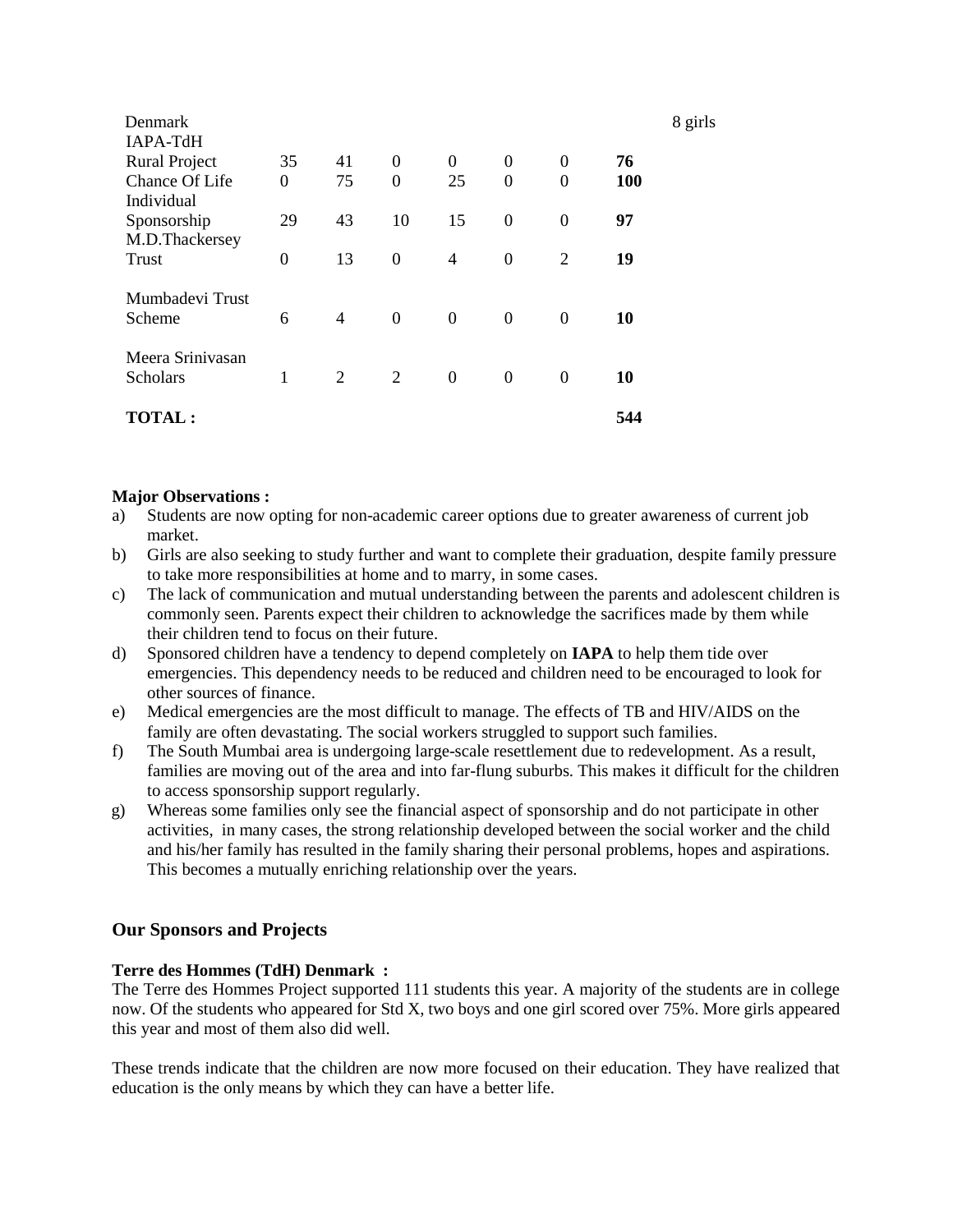| Denmark                          |                |                |                  |                |                  |                |     | 8 girls |
|----------------------------------|----------------|----------------|------------------|----------------|------------------|----------------|-----|---------|
| IAPA-TdH<br><b>Rural Project</b> | 35             | 41             | $\boldsymbol{0}$ | $\overline{0}$ | $\boldsymbol{0}$ | 0              | 76  |         |
| Chance Of Life                   | $\overline{0}$ | 75             | $\overline{0}$   | 25             | $\theta$         | $\overline{0}$ | 100 |         |
| Individual<br>Sponsorship        | 29             | 43             | 10               | 15             | $\boldsymbol{0}$ | $\overline{0}$ | 97  |         |
| M.D.Thackersey                   |                |                |                  |                |                  |                |     |         |
| Trust                            | $\overline{0}$ | 13             | $\boldsymbol{0}$ | $\overline{4}$ | $\boldsymbol{0}$ | 2              | 19  |         |
| Mumbadevi Trust                  |                |                |                  |                |                  |                |     |         |
| Scheme                           | 6              | $\overline{4}$ | $\boldsymbol{0}$ | $\mathbf{0}$   | $\overline{0}$   | $\Omega$       | 10  |         |
| Meera Srinivasan                 |                |                |                  |                |                  |                |     |         |
| Scholars                         | 1              | 2              | 2                | $\mathbf{0}$   | $\overline{0}$   | $\theta$       | 10  |         |
|                                  |                |                |                  |                |                  |                |     |         |
| <b>TOTAL :</b>                   |                |                |                  |                |                  |                | 544 |         |

#### **Major Observations :**

- a) Students are now opting for non-academic career options due to greater awareness of current job market.
- b) Girls are also seeking to study further and want to complete their graduation, despite family pressure to take more responsibilities at home and to marry, in some cases.
- c) The lack of communication and mutual understanding between the parents and adolescent children is commonly seen. Parents expect their children to acknowledge the sacrifices made by them while their children tend to focus on their future.
- d) Sponsored children have a tendency to depend completely on **IAPA** to help them tide over emergencies. This dependency needs to be reduced and children need to be encouraged to look for other sources of finance.
- e) Medical emergencies are the most difficult to manage. The effects of TB and HIV/AIDS on the family are often devastating. The social workers struggled to support such families.
- f) The South Mumbai area is undergoing large-scale resettlement due to redevelopment. As a result, families are moving out of the area and into far-flung suburbs. This makes it difficult for the children to access sponsorship support regularly.
- g) Whereas some families only see the financial aspect of sponsorship and do not participate in other activities, in many cases, the strong relationship developed between the social worker and the child and his/her family has resulted in the family sharing their personal problems, hopes and aspirations. This becomes a mutually enriching relationship over the years.

#### **Our Sponsors and Projects**

#### **Terre des Hommes (TdH) Denmark :**

The Terre des Hommes Project supported 111 students this year. A majority of the students are in college now. Of the students who appeared for Std X, two boys and one girl scored over 75%. More girls appeared this year and most of them also did well.

These trends indicate that the children are now more focused on their education. They have realized that education is the only means by which they can have a better life.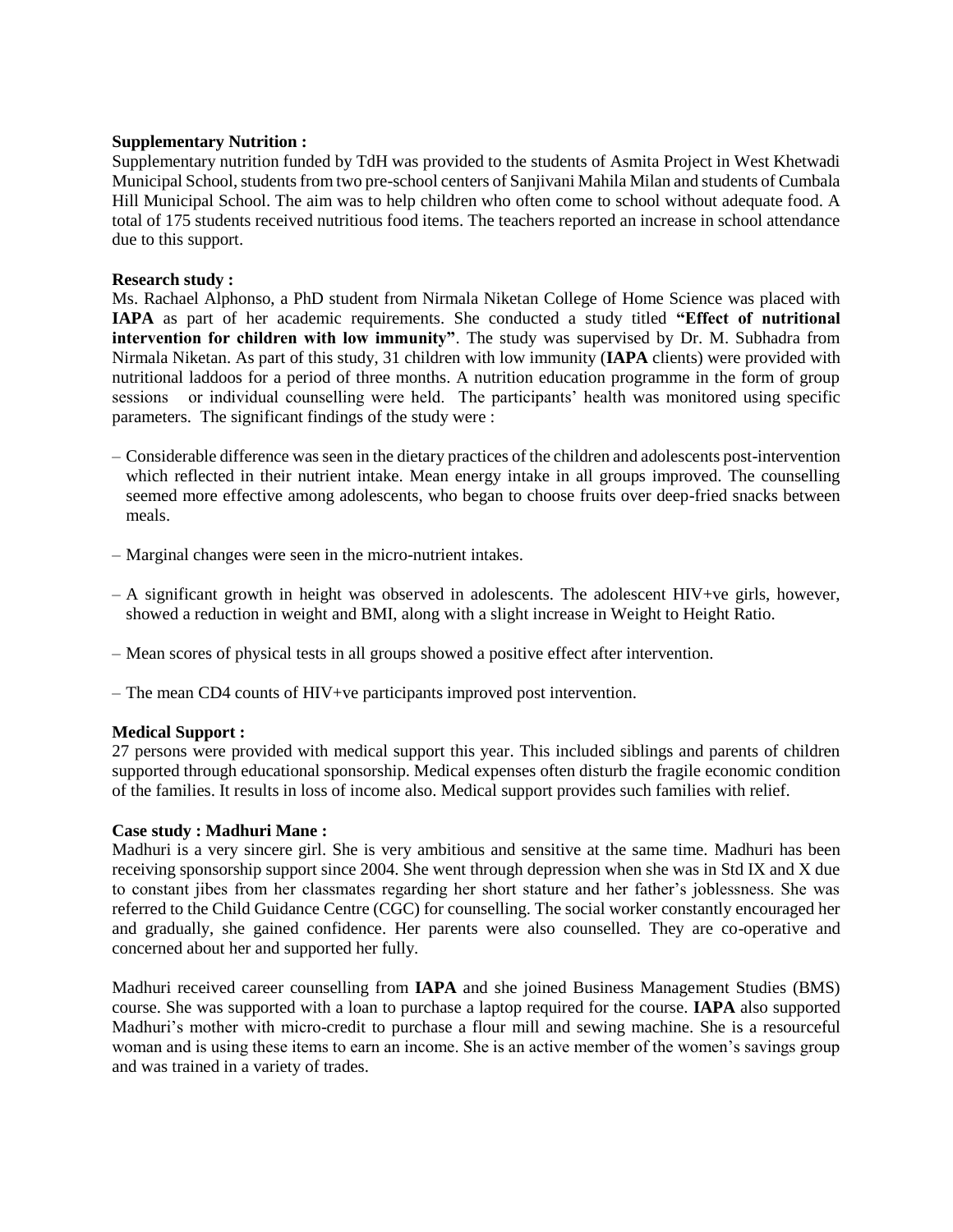#### **Supplementary Nutrition :**

Supplementary nutrition funded by TdH was provided to the students of Asmita Project in West Khetwadi Municipal School, students from two pre-school centers of Sanjivani Mahila Milan and students of Cumbala Hill Municipal School. The aim was to help children who often come to school without adequate food. A total of 175 students received nutritious food items. The teachers reported an increase in school attendance due to this support.

#### **Research study :**

Ms. Rachael Alphonso, a PhD student from Nirmala Niketan College of Home Science was placed with **IAPA** as part of her academic requirements. She conducted a study titled **"Effect of nutritional intervention for children with low immunity"**. The study was supervised by Dr. M. Subhadra from Nirmala Niketan. As part of this study, 31 children with low immunity (**IAPA** clients) were provided with nutritional laddoos for a period of three months. A nutrition education programme in the form of group sessions or individual counselling were held. The participants' health was monitored using specific parameters. The significant findings of the study were :

- Considerable difference was seen in the dietary practices of the children and adolescents post-intervention which reflected in their nutrient intake. Mean energy intake in all groups improved. The counselling seemed more effective among adolescents, who began to choose fruits over deep-fried snacks between meals.
- Marginal changes were seen in the micro-nutrient intakes.
- $A$  significant growth in height was observed in adolescents. The adolescent HIV+ve girls, however, showed a reduction in weight and BMI, along with a slight increase in Weight to Height Ratio.
- Mean scores of physical tests in all groups showed a positive effect after intervention.
- The mean CD4 counts of HIV+ve participants improved post intervention.

#### **Medical Support :**

27 persons were provided with medical support this year. This included siblings and parents of children supported through educational sponsorship. Medical expenses often disturb the fragile economic condition of the families. It results in loss of income also. Medical support provides such families with relief.

#### **Case study : Madhuri Mane :**

Madhuri is a very sincere girl. She is very ambitious and sensitive at the same time. Madhuri has been receiving sponsorship support since 2004. She went through depression when she was in Std IX and X due to constant jibes from her classmates regarding her short stature and her father's joblessness. She was referred to the Child Guidance Centre (CGC) for counselling. The social worker constantly encouraged her and gradually, she gained confidence. Her parents were also counselled. They are co-operative and concerned about her and supported her fully.

Madhuri received career counselling from **IAPA** and she joined Business Management Studies (BMS) course. She was supported with a loan to purchase a laptop required for the course. **IAPA** also supported Madhuri's mother with micro-credit to purchase a flour mill and sewing machine. She is a resourceful woman and is using these items to earn an income. She is an active member of the women's savings group and was trained in a variety of trades.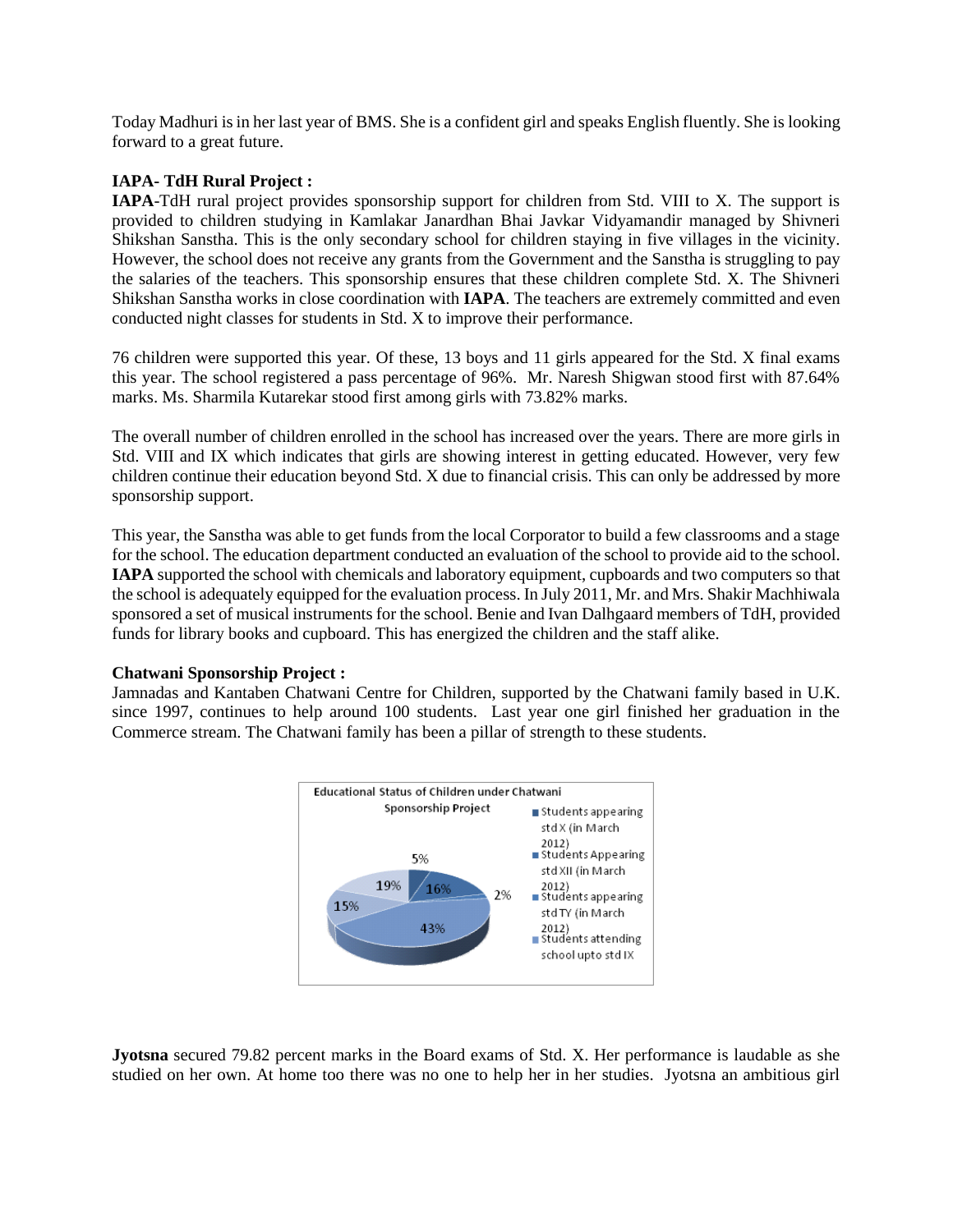Today Madhuri is in her last year of BMS. She is a confident girl and speaks English fluently. She is looking forward to a great future.

#### **IAPA- TdH Rural Project :**

**IAPA**-TdH rural project provides sponsorship support for children from Std. VIII to X. The support is provided to children studying in Kamlakar Janardhan Bhai Javkar Vidyamandir managed by Shivneri Shikshan Sanstha. This is the only secondary school for children staying in five villages in the vicinity. However, the school does not receive any grants from the Government and the Sanstha is struggling to pay the salaries of the teachers. This sponsorship ensures that these children complete Std. X. The Shivneri Shikshan Sanstha works in close coordination with **IAPA**. The teachers are extremely committed and even conducted night classes for students in Std. X to improve their performance.

76 children were supported this year. Of these, 13 boys and 11 girls appeared for the Std. X final exams this year. The school registered a pass percentage of 96%. Mr. Naresh Shigwan stood first with 87.64% marks. Ms. Sharmila Kutarekar stood first among girls with 73.82% marks.

The overall number of children enrolled in the school has increased over the years. There are more girls in Std. VIII and IX which indicates that girls are showing interest in getting educated. However, very few children continue their education beyond Std. X due to financial crisis. This can only be addressed by more sponsorship support.

This year, the Sanstha was able to get funds from the local Corporator to build a few classrooms and a stage for the school. The education department conducted an evaluation of the school to provide aid to the school. **IAPA** supported the school with chemicals and laboratory equipment, cupboards and two computers so that the school is adequately equipped for the evaluation process. In July 2011, Mr. and Mrs. Shakir Machhiwala sponsored a set of musical instruments for the school. Benie and Ivan Dalhgaard members of TdH, provided funds for library books and cupboard. This has energized the children and the staff alike.

#### **Chatwani Sponsorship Project :**

Jamnadas and Kantaben Chatwani Centre for Children, supported by the Chatwani family based in U.K. since 1997, continues to help around 100 students. Last year one girl finished her graduation in the Commerce stream. The Chatwani family has been a pillar of strength to these students.



**Jyotsna** secured 79.82 percent marks in the Board exams of Std. X. Her performance is laudable as she studied on her own. At home too there was no one to help her in her studies. Jyotsna an ambitious girl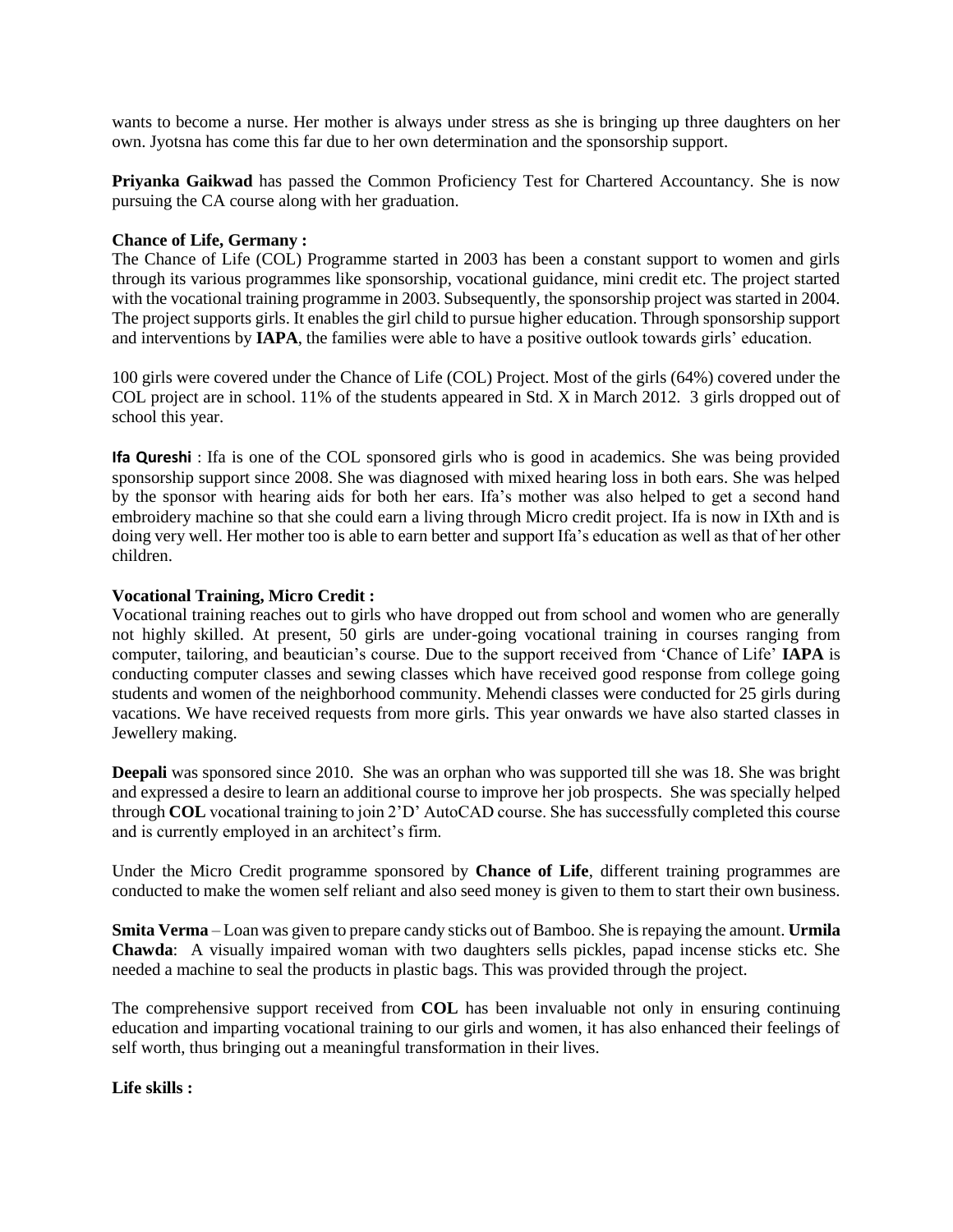wants to become a nurse. Her mother is always under stress as she is bringing up three daughters on her own. Jyotsna has come this far due to her own determination and the sponsorship support.

**Priyanka Gaikwad** has passed the Common Proficiency Test for Chartered Accountancy. She is now pursuing the CA course along with her graduation.

#### **Chance of Life, Germany :**

The Chance of Life (COL) Programme started in 2003 has been a constant support to women and girls through its various programmes like sponsorship, vocational guidance, mini credit etc. The project started with the vocational training programme in 2003. Subsequently, the sponsorship project was started in 2004. The project supports girls. It enables the girl child to pursue higher education. Through sponsorship support and interventions by **IAPA**, the families were able to have a positive outlook towards girls' education.

100 girls were covered under the Chance of Life (COL) Project. Most of the girls (64%) covered under the COL project are in school. 11% of the students appeared in Std. X in March 2012. 3 girls dropped out of school this year.

**Ifa Qureshi** : Ifa is one of the COL sponsored girls who is good in academics. She was being provided sponsorship support since 2008. She was diagnosed with mixed hearing loss in both ears. She was helped by the sponsor with hearing aids for both her ears. Ifa's mother was also helped to get a second hand embroidery machine so that she could earn a living through Micro credit project. Ifa is now in IXth and is doing very well. Her mother too is able to earn better and support Ifa's education as well as that of her other children.

#### **Vocational Training, Micro Credit :**

Vocational training reaches out to girls who have dropped out from school and women who are generally not highly skilled. At present, 50 girls are under-going vocational training in courses ranging from computer, tailoring, and beautician's course. Due to the support received from 'Chance of Life' **IAPA** is conducting computer classes and sewing classes which have received good response from college going students and women of the neighborhood community. Mehendi classes were conducted for 25 girls during vacations. We have received requests from more girls. This year onwards we have also started classes in Jewellery making.

**Deepali** was sponsored since 2010. She was an orphan who was supported till she was 18. She was bright and expressed a desire to learn an additional course to improve her job prospects. She was specially helped through **COL** vocational training to join 2'D' AutoCAD course. She has successfully completed this course and is currently employed in an architect's firm.

Under the Micro Credit programme sponsored by **Chance of Life**, different training programmes are conducted to make the women self reliant and also seed money is given to them to start their own business.

**Smita Verma** – Loan was given to prepare candy sticks out of Bamboo. She is repaying the amount. **Urmila Chawda**: A visually impaired woman with two daughters sells pickles, papad incense sticks etc. She needed a machine to seal the products in plastic bags. This was provided through the project.

The comprehensive support received from **COL** has been invaluable not only in ensuring continuing education and imparting vocational training to our girls and women, it has also enhanced their feelings of self worth, thus bringing out a meaningful transformation in their lives.

**Life skills :**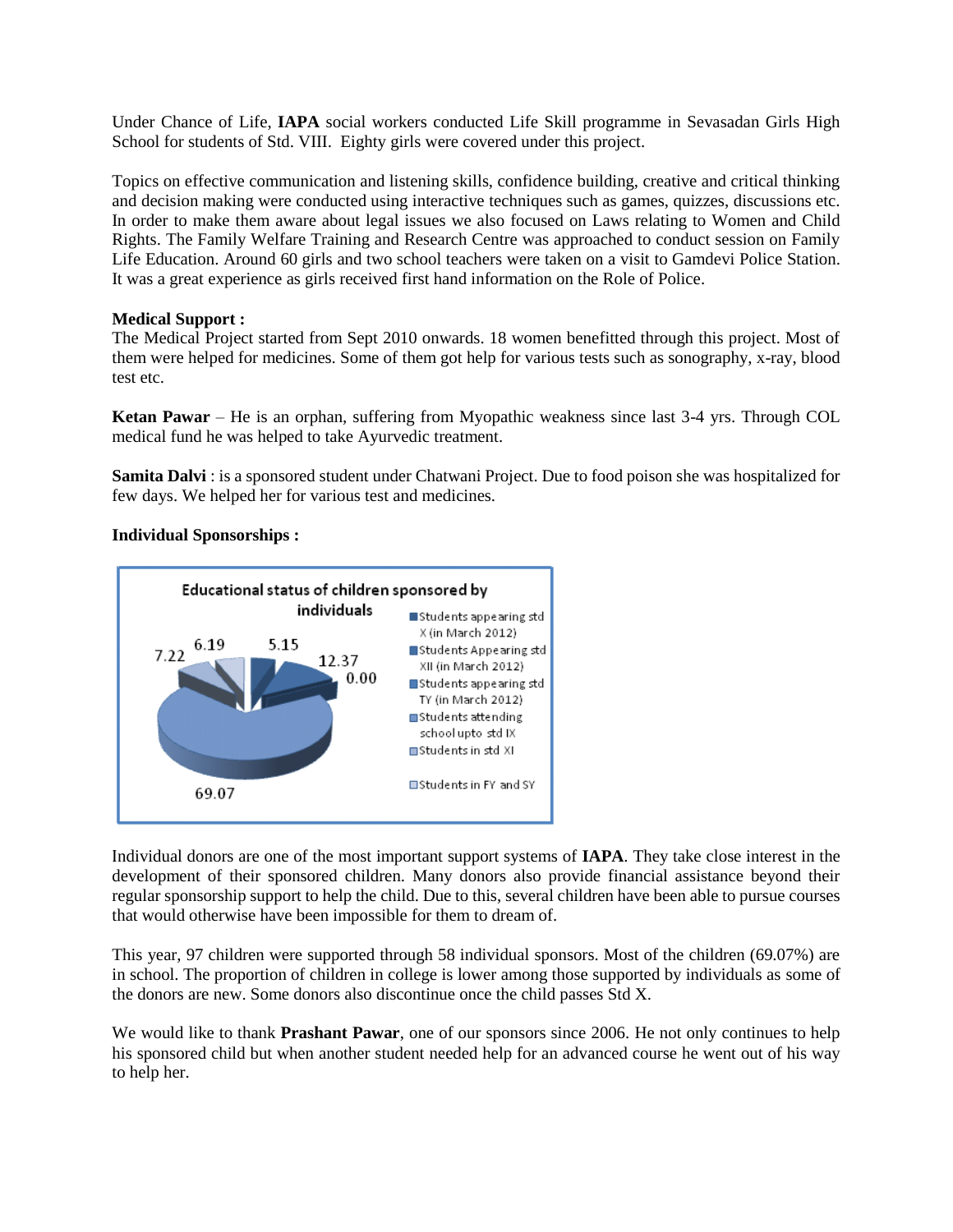Under Chance of Life, **IAPA** social workers conducted Life Skill programme in Sevasadan Girls High School for students of Std. VIII. Eighty girls were covered under this project.

Topics on effective communication and listening skills, confidence building, creative and critical thinking and decision making were conducted using interactive techniques such as games, quizzes, discussions etc. In order to make them aware about legal issues we also focused on Laws relating to Women and Child Rights. The Family Welfare Training and Research Centre was approached to conduct session on Family Life Education. Around 60 girls and two school teachers were taken on a visit to Gamdevi Police Station. It was a great experience as girls received first hand information on the Role of Police.

#### **Medical Support :**

The Medical Project started from Sept 2010 onwards. 18 women benefitted through this project. Most of them were helped for medicines. Some of them got help for various tests such as sonography, x-ray, blood test etc.

**Ketan Pawar** – He is an orphan, suffering from Myopathic weakness since last 3-4 yrs. Through COL medical fund he was helped to take Ayurvedic treatment.

**Samita Dalvi** : is a sponsored student under Chatwani Project. Due to food poison she was hospitalized for few days. We helped her for various test and medicines.

#### **Individual Sponsorships :**



Individual donors are one of the most important support systems of **IAPA**. They take close interest in the development of their sponsored children. Many donors also provide financial assistance beyond their regular sponsorship support to help the child. Due to this, several children have been able to pursue courses that would otherwise have been impossible for them to dream of.

This year, 97 children were supported through 58 individual sponsors. Most of the children (69.07%) are in school. The proportion of children in college is lower among those supported by individuals as some of the donors are new. Some donors also discontinue once the child passes Std X.

We would like to thank **Prashant Pawar**, one of our sponsors since 2006. He not only continues to help his sponsored child but when another student needed help for an advanced course he went out of his way to help her.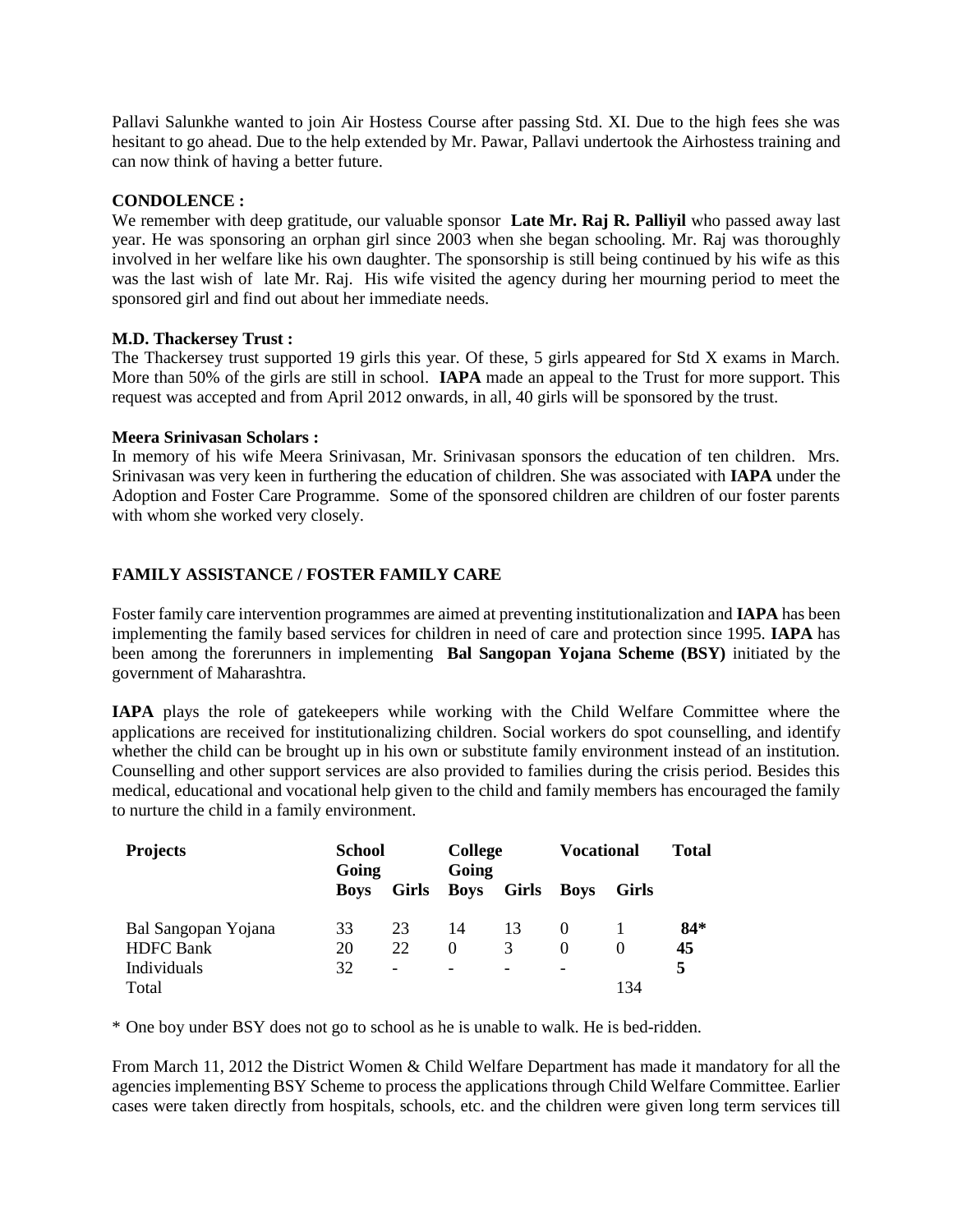Pallavi Salunkhe wanted to join Air Hostess Course after passing Std. XI. Due to the high fees she was hesitant to go ahead. Due to the help extended by Mr. Pawar, Pallavi undertook the Airhostess training and can now think of having a better future.

#### **CONDOLENCE :**

We remember with deep gratitude, our valuable sponsor **Late Mr. Raj R. Palliyil** who passed away last year. He was sponsoring an orphan girl since 2003 when she began schooling. Mr. Raj was thoroughly involved in her welfare like his own daughter. The sponsorship is still being continued by his wife as this was the last wish of late Mr. Raj. His wife visited the agency during her mourning period to meet the sponsored girl and find out about her immediate needs.

#### **M.D. Thackersey Trust :**

The Thackersey trust supported 19 girls this year. Of these, 5 girls appeared for Std X exams in March. More than 50% of the girls are still in school. **IAPA** made an appeal to the Trust for more support. This request was accepted and from April 2012 onwards, in all, 40 girls will be sponsored by the trust.

#### **Meera Srinivasan Scholars :**

In memory of his wife Meera Srinivasan, Mr. Srinivasan sponsors the education of ten children. Mrs. Srinivasan was very keen in furthering the education of children. She was associated with **IAPA** under the Adoption and Foster Care Programme. Some of the sponsored children are children of our foster parents with whom she worked very closely.

#### **FAMILY ASSISTANCE / FOSTER FAMILY CARE**

Foster family care intervention programmes are aimed at preventing institutionalization and **IAPA** has been implementing the family based services for children in need of care and protection since 1995. **IAPA** has been among the forerunners in implementing **Bal Sangopan Yojana Scheme (BSY)** initiated by the government of Maharashtra.

**IAPA** plays the role of gatekeepers while working with the Child Welfare Committee where the applications are received for institutionalizing children. Social workers do spot counselling, and identify whether the child can be brought up in his own or substitute family environment instead of an institution. Counselling and other support services are also provided to families during the crisis period. Besides this medical, educational and vocational help given to the child and family members has encouraged the family to nurture the child in a family environment.

| <b>Projects</b>     | <b>School</b><br>Going |                          | <b>College</b><br>Going |                          | <b>Vocational</b> |                   | <b>Total</b> |
|---------------------|------------------------|--------------------------|-------------------------|--------------------------|-------------------|-------------------|--------------|
|                     | <b>Boys</b>            | <b>Girls</b>             | Boys                    | Girls                    | Boys              | Girls             |              |
| Bal Sangopan Yojana | 33                     | 23                       | 14                      | 13                       | $\theta$          |                   | $84*$        |
| <b>HDFC</b> Bank    | 20                     | 22                       | $\Omega$                | 3                        | $\Omega$          | $\mathbf{\Omega}$ | 45           |
| Individuals         | 32                     | $\overline{\phantom{0}}$ | -                       | $\overline{\phantom{0}}$ | -                 |                   | 5            |
| Total               |                        |                          |                         |                          |                   | 134               |              |

\* One boy under BSY does not go to school as he is unable to walk. He is bed-ridden.

From March 11, 2012 the District Women & Child Welfare Department has made it mandatory for all the agencies implementing BSY Scheme to process the applications through Child Welfare Committee. Earlier cases were taken directly from hospitals, schools, etc. and the children were given long term services till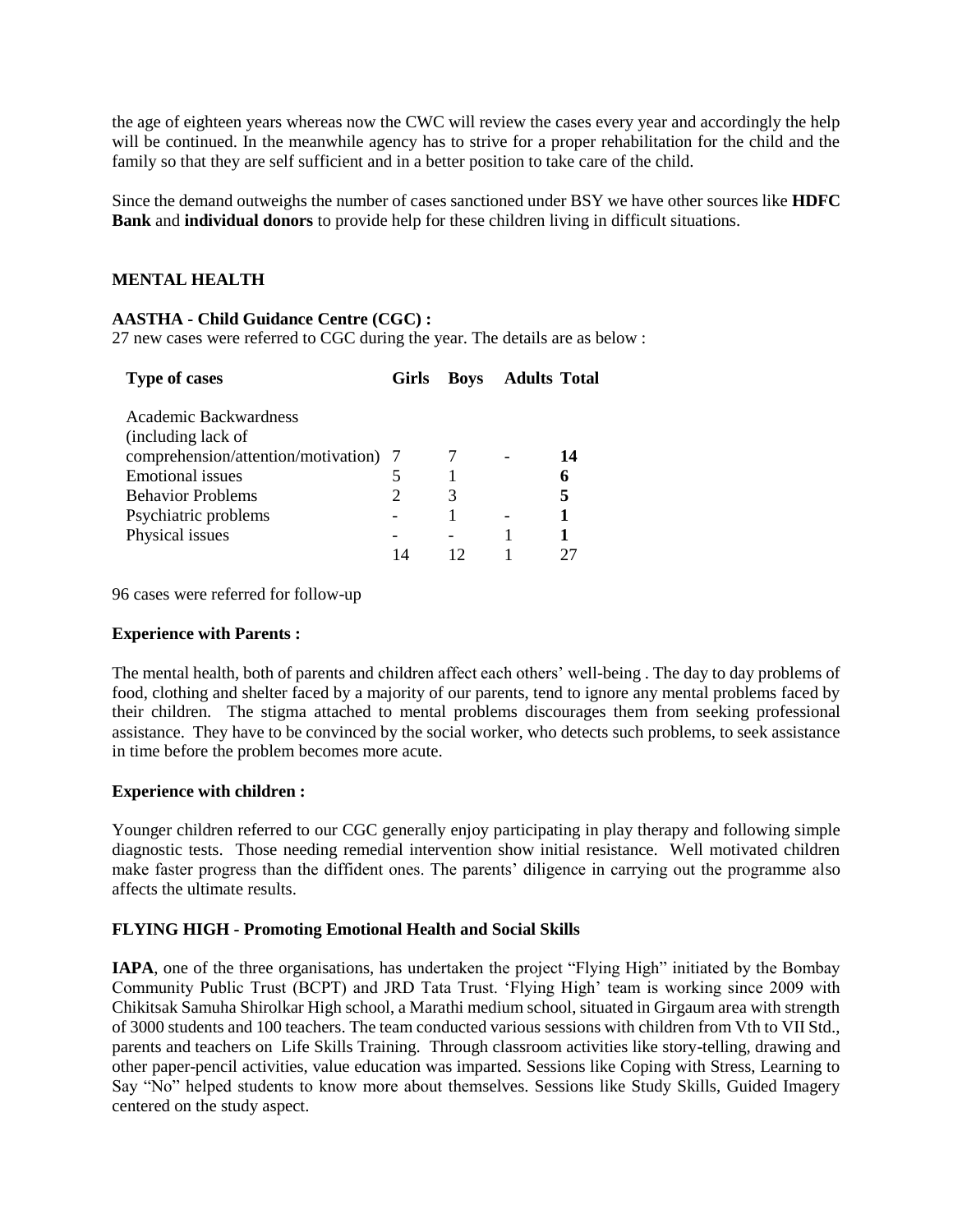the age of eighteen years whereas now the CWC will review the cases every year and accordingly the help will be continued. In the meanwhile agency has to strive for a proper rehabilitation for the child and the family so that they are self sufficient and in a better position to take care of the child.

Since the demand outweighs the number of cases sanctioned under BSY we have other sources like **HDFC Bank** and **individual donors** to provide help for these children living in difficult situations.

#### **MENTAL HEALTH**

#### **AASTHA - Child Guidance Centre (CGC) :**

27 new cases were referred to CGC during the year. The details are as below :

| <b>Type of cases</b>                  | Girls | <b>Boys</b> | <b>Adults Total</b> |    |
|---------------------------------------|-------|-------------|---------------------|----|
| Academic Backwardness                 |       |             |                     |    |
| (including lack of                    |       |             |                     |    |
| comprehension/attention/motivation) 7 |       |             |                     | 14 |
| Emotional issues                      |       |             |                     | 6  |
| <b>Behavior Problems</b>              |       | 3           |                     | 5  |
| Psychiatric problems                  |       |             |                     |    |
| Physical issues                       |       |             |                     |    |
|                                       | 14    |             |                     |    |

96 cases were referred for follow-up

#### **Experience with Parents :**

The mental health, both of parents and children affect each others' well-being . The day to day problems of food, clothing and shelter faced by a majority of our parents, tend to ignore any mental problems faced by their children. The stigma attached to mental problems discourages them from seeking professional assistance. They have to be convinced by the social worker, who detects such problems, to seek assistance in time before the problem becomes more acute.

#### **Experience with children :**

Younger children referred to our CGC generally enjoy participating in play therapy and following simple diagnostic tests. Those needing remedial intervention show initial resistance. Well motivated children make faster progress than the diffident ones. The parents' diligence in carrying out the programme also affects the ultimate results.

#### **FLYING HIGH - Promoting Emotional Health and Social Skills**

**IAPA**, one of the three organisations, has undertaken the project "Flying High" initiated by the Bombay Community Public Trust (BCPT) and JRD Tata Trust. 'Flying High' team is working since 2009 with Chikitsak Samuha Shirolkar High school, a Marathi medium school, situated in Girgaum area with strength of 3000 students and 100 teachers. The team conducted various sessions with children from Vth to VII Std., parents and teachers on Life Skills Training. Through classroom activities like story-telling, drawing and other paper-pencil activities, value education was imparted. Sessions like Coping with Stress, Learning to Say "No" helped students to know more about themselves. Sessions like Study Skills, Guided Imagery centered on the study aspect.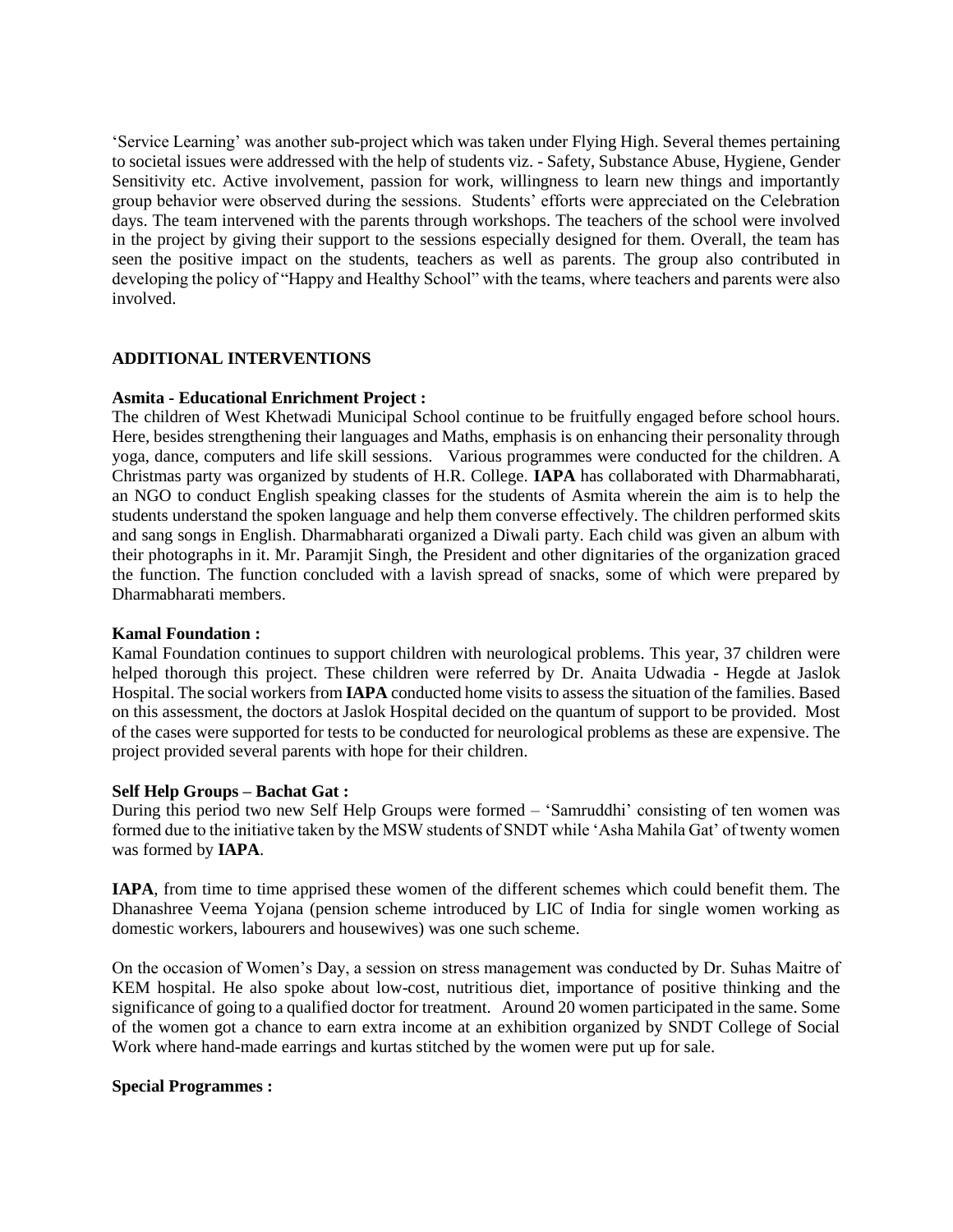'Service Learning' was another sub-project which was taken under Flying High. Several themes pertaining to societal issues were addressed with the help of students viz. - Safety, Substance Abuse, Hygiene, Gender Sensitivity etc. Active involvement, passion for work, willingness to learn new things and importantly group behavior were observed during the sessions. Students' efforts were appreciated on the Celebration days. The team intervened with the parents through workshops. The teachers of the school were involved in the project by giving their support to the sessions especially designed for them. Overall, the team has seen the positive impact on the students, teachers as well as parents. The group also contributed in developing the policy of "Happy and Healthy School" with the teams, where teachers and parents were also involved.

#### **ADDITIONAL INTERVENTIONS**

#### **Asmita - Educational Enrichment Project :**

The children of West Khetwadi Municipal School continue to be fruitfully engaged before school hours. Here, besides strengthening their languages and Maths, emphasis is on enhancing their personality through yoga, dance, computers and life skill sessions. Various programmes were conducted for the children. A Christmas party was organized by students of H.R. College. **IAPA** has collaborated with Dharmabharati, an NGO to conduct English speaking classes for the students of Asmita wherein the aim is to help the students understand the spoken language and help them converse effectively. The children performed skits and sang songs in English. Dharmabharati organized a Diwali party. Each child was given an album with their photographs in it. Mr. Paramjit Singh, the President and other dignitaries of the organization graced the function. The function concluded with a lavish spread of snacks, some of which were prepared by Dharmabharati members.

#### **Kamal Foundation :**

Kamal Foundation continues to support children with neurological problems. This year, 37 children were helped thorough this project. These children were referred by Dr. Anaita Udwadia - Hegde at Jaslok Hospital. The social workers from **IAPA** conducted home visits to assess the situation of the families. Based on this assessment, the doctors at Jaslok Hospital decided on the quantum of support to be provided. Most of the cases were supported for tests to be conducted for neurological problems as these are expensive. The project provided several parents with hope for their children.

#### **Self Help Groups – Bachat Gat :**

During this period two new Self Help Groups were formed – 'Samruddhi' consisting of ten women was formed due to the initiative taken by the MSW students of SNDT while 'Asha Mahila Gat' of twenty women was formed by **IAPA**.

**IAPA**, from time to time apprised these women of the different schemes which could benefit them. The Dhanashree Veema Yojana (pension scheme introduced by LIC of India for single women working as domestic workers, labourers and housewives) was one such scheme.

On the occasion of Women's Day, a session on stress management was conducted by Dr. Suhas Maitre of KEM hospital. He also spoke about low-cost, nutritious diet, importance of positive thinking and the significance of going to a qualified doctor for treatment. Around 20 women participated in the same. Some of the women got a chance to earn extra income at an exhibition organized by SNDT College of Social Work where hand-made earrings and kurtas stitched by the women were put up for sale.

#### **Special Programmes :**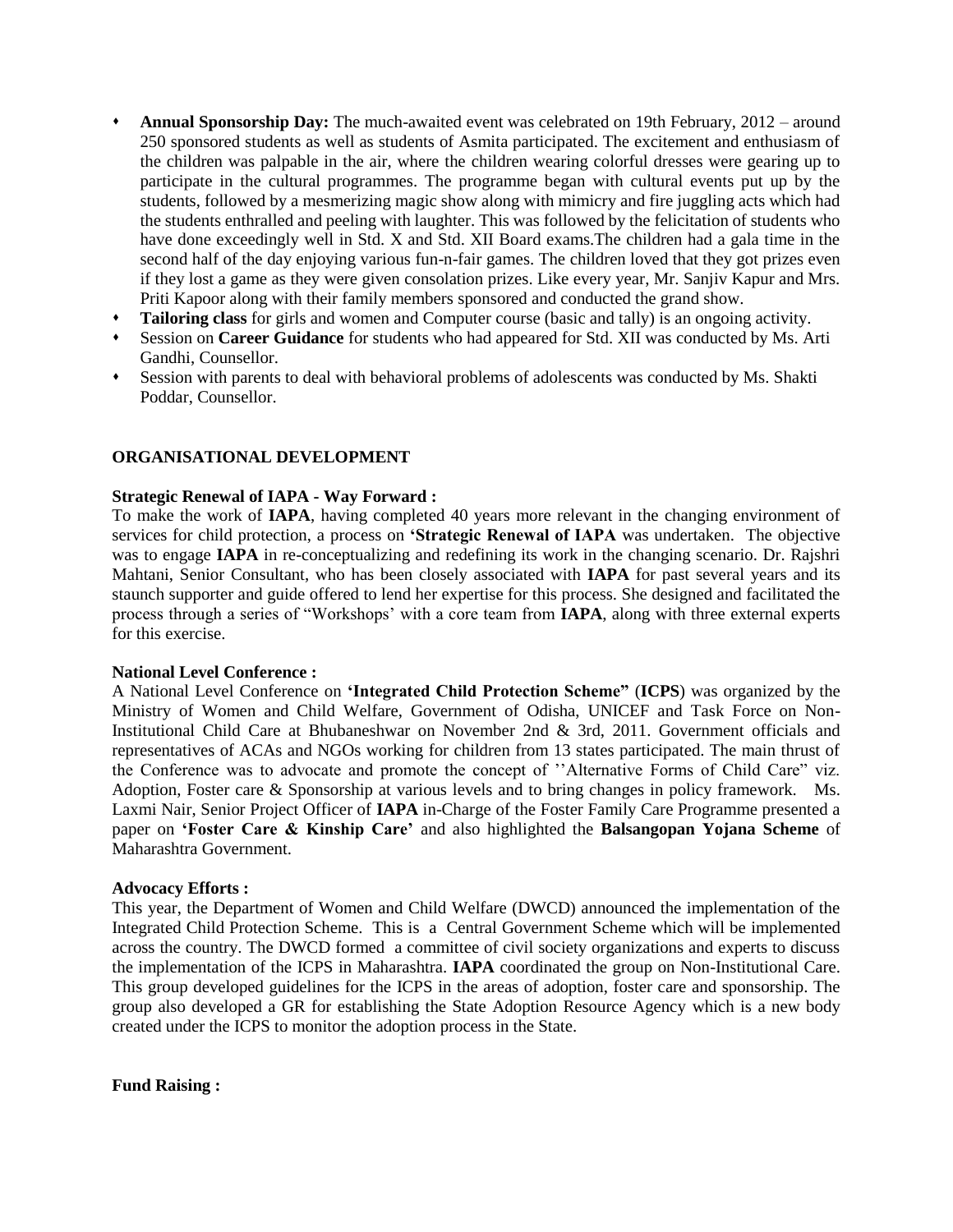- **Annual Sponsorship Day:** The much-awaited event was celebrated on 19th February, 2012 around 250 sponsored students as well as students of Asmita participated. The excitement and enthusiasm of the children was palpable in the air, where the children wearing colorful dresses were gearing up to participate in the cultural programmes. The programme began with cultural events put up by the students, followed by a mesmerizing magic show along with mimicry and fire juggling acts which had the students enthralled and peeling with laughter. This was followed by the felicitation of students who have done exceedingly well in Std. X and Std. XII Board exams.The children had a gala time in the second half of the day enjoying various fun-n-fair games. The children loved that they got prizes even if they lost a game as they were given consolation prizes. Like every year, Mr. Sanjiv Kapur and Mrs. Priti Kapoor along with their family members sponsored and conducted the grand show.
- **Tailoring class** for girls and women and Computer course (basic and tally) is an ongoing activity.
- Session on **Career Guidance** for students who had appeared for Std. XII was conducted by Ms. Arti Gandhi, Counsellor.
- Session with parents to deal with behavioral problems of adolescents was conducted by Ms. Shakti Poddar, Counsellor.

#### **ORGANISATIONAL DEVELOPMENT**

#### **Strategic Renewal of IAPA - Way Forward :**

To make the work of **IAPA**, having completed 40 years more relevant in the changing environment of services for child protection, a process on **'Strategic Renewal of IAPA** was undertaken. The objective was to engage **IAPA** in re-conceptualizing and redefining its work in the changing scenario. Dr. Rajshri Mahtani, Senior Consultant, who has been closely associated with **IAPA** for past several years and its staunch supporter and guide offered to lend her expertise for this process. She designed and facilitated the process through a series of "Workshops' with a core team from **IAPA**, along with three external experts for this exercise.

#### **National Level Conference :**

A National Level Conference on **'Integrated Child Protection Scheme"** (**ICPS**) was organized by the Ministry of Women and Child Welfare, Government of Odisha, UNICEF and Task Force on Non-Institutional Child Care at Bhubaneshwar on November 2nd & 3rd, 2011. Government officials and representatives of ACAs and NGOs working for children from 13 states participated. The main thrust of the Conference was to advocate and promote the concept of ''Alternative Forms of Child Care" viz. Adoption, Foster care & Sponsorship at various levels and to bring changes in policy framework. Ms. Laxmi Nair, Senior Project Officer of **IAPA** in-Charge of the Foster Family Care Programme presented a paper on **'Foster Care & Kinship Care'** and also highlighted the **Balsangopan Yojana Scheme** of Maharashtra Government.

#### **Advocacy Efforts :**

This year, the Department of Women and Child Welfare (DWCD) announced the implementation of the Integrated Child Protection Scheme. This is a Central Government Scheme which will be implemented across the country. The DWCD formed a committee of civil society organizations and experts to discuss the implementation of the ICPS in Maharashtra. **IAPA** coordinated the group on Non-Institutional Care. This group developed guidelines for the ICPS in the areas of adoption, foster care and sponsorship. The group also developed a GR for establishing the State Adoption Resource Agency which is a new body created under the ICPS to monitor the adoption process in the State.

**Fund Raising :**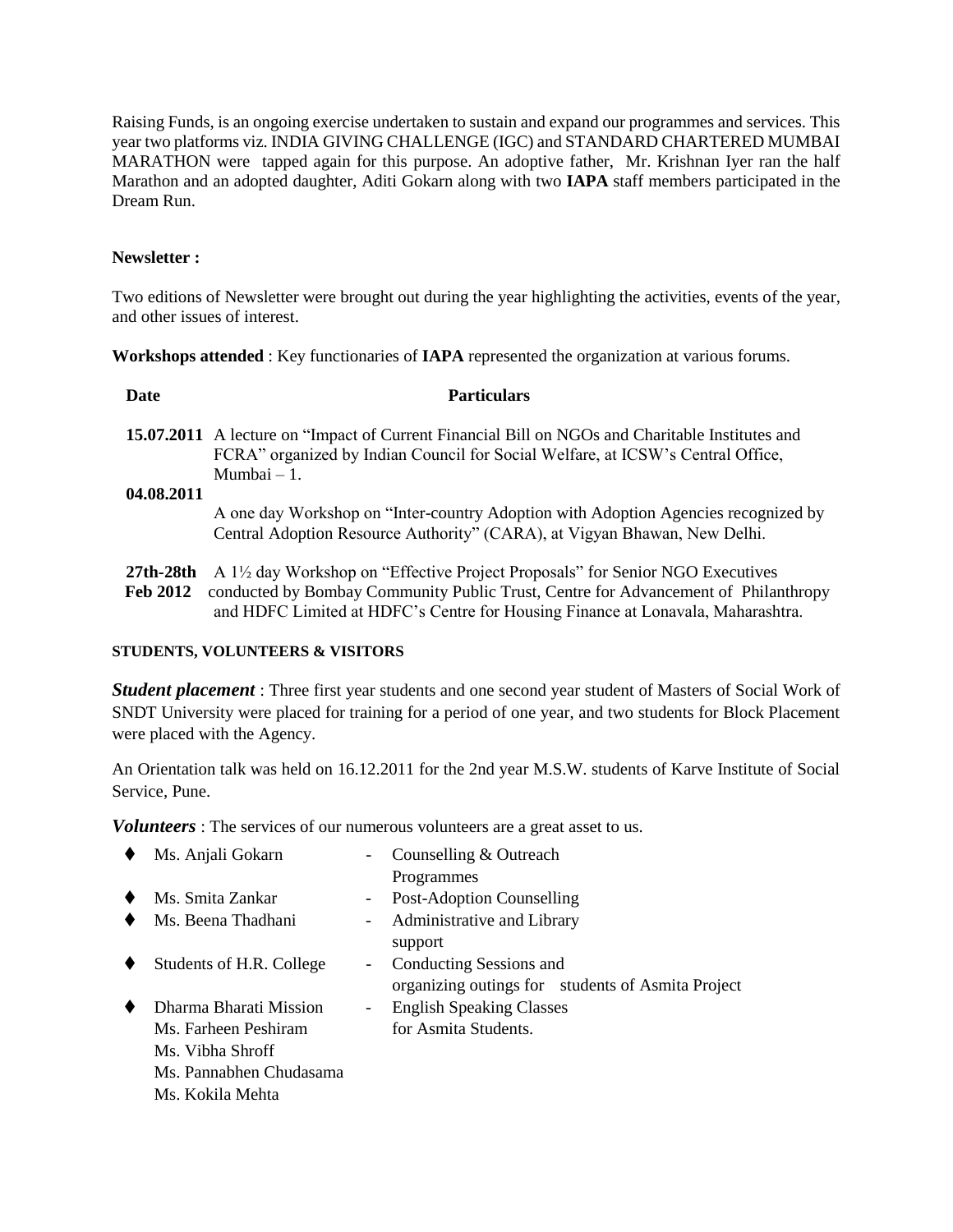Raising Funds, is an ongoing exercise undertaken to sustain and expand our programmes and services. This year two platforms viz. INDIA GIVING CHALLENGE (IGC) and STANDARD CHARTERED MUMBAI MARATHON were tapped again for this purpose. An adoptive father, Mr. Krishnan Iyer ran the half Marathon and an adopted daughter, Aditi Gokarn along with two **IAPA** staff members participated in the Dream Run.

#### **Newsletter :**

Two editions of Newsletter were brought out during the year highlighting the activities, events of the year, and other issues of interest.

**Workshops attended** : Key functionaries of **IAPA** represented the organization at various forums.

| Date            | <b>Particulars</b>                                                                                                                                                                                         |
|-----------------|------------------------------------------------------------------------------------------------------------------------------------------------------------------------------------------------------------|
|                 | <b>15.07.2011</b> A lecture on "Impact of Current Financial Bill on NGOs and Charitable Institutes and<br>FCRA" organized by Indian Council for Social Welfare, at ICSW's Central Office,<br>$Mumbai - 1.$ |
| 04.08.2011      | A one day Workshop on "Inter-country Adoption with Adoption Agencies recognized by                                                                                                                         |
|                 | Central Adoption Resource Authority" (CARA), at Vigyan Bhawan, New Delhi.                                                                                                                                  |
| 27th-28th       | A 1 <sup>1</sup> / <sub>2</sub> day Workshop on "Effective Project Proposals" for Senior NGO Executives                                                                                                    |
| <b>Feb 2012</b> | conducted by Bombay Community Public Trust, Centre for Advancement of Philanthropy<br>and HDFC Limited at HDFC's Centre for Housing Finance at Lonavala, Maharashtra.                                      |

#### **STUDENTS, VOLUNTEERS & VISITORS**

*Student placement* : Three first year students and one second year student of Masters of Social Work of SNDT University were placed for training for a period of one year, and two students for Block Placement were placed with the Agency.

An Orientation talk was held on 16.12.2011 for the 2nd year M.S.W. students of Karve Institute of Social Service, Pune.

*Volunteers* : The services of our numerous volunteers are a great asset to us.

| ٠ | Ms. Anjali Gokarn        |            | Counselling & Outreach                            |
|---|--------------------------|------------|---------------------------------------------------|
|   |                          |            | Programmes                                        |
| ٠ | Ms. Smita Zankar         | $-$        | Post-Adoption Counselling                         |
| ٠ | Ms. Beena Thadhani       | $\sim 100$ | Administrative and Library                        |
|   |                          |            | support                                           |
| ٠ | Students of H.R. College | ۰.         | Conducting Sessions and                           |
|   |                          |            | organizing outings for students of Asmita Project |
| ٠ | Dharma Bharati Mission   | -          | <b>English Speaking Classes</b>                   |
|   | Ms. Farheen Peshiram     |            | for Asmita Students.                              |
|   | Ms. Vibha Shroff         |            |                                                   |
|   | Ms. Pannabhen Chudasama  |            |                                                   |
|   | Ms. Kokila Mehta         |            |                                                   |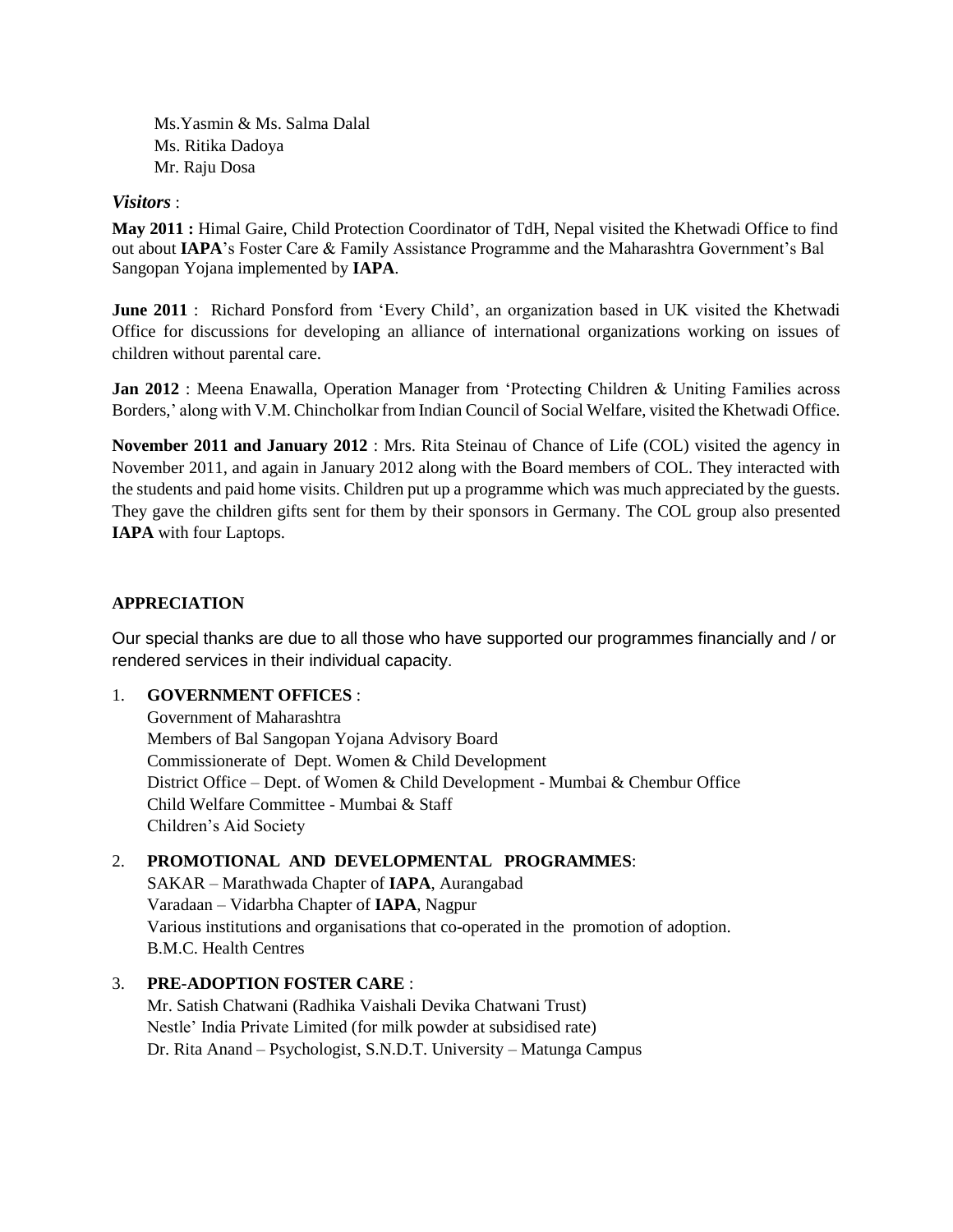Ms.Yasmin & Ms. Salma Dalal Ms. Ritika Dadoya Mr. Raju Dosa

#### *Visitors* :

**May 2011 :** Himal Gaire, Child Protection Coordinator of TdH, Nepal visited the Khetwadi Office to find out about **IAPA**'s Foster Care & Family Assistance Programme and the Maharashtra Government's Bal Sangopan Yojana implemented by **IAPA**.

**June 2011** : Richard Ponsford from 'Every Child', an organization based in UK visited the Khetwadi Office for discussions for developing an alliance of international organizations working on issues of children without parental care.

**Jan 2012** : Meena Enawalla, Operation Manager from 'Protecting Children & Uniting Families across Borders,' along with V.M. Chincholkar from Indian Council of Social Welfare, visited the Khetwadi Office.

**November 2011 and January 2012** : Mrs. Rita Steinau of Chance of Life (COL) visited the agency in November 2011, and again in January 2012 along with the Board members of COL. They interacted with the students and paid home visits. Children put up a programme which was much appreciated by the guests. They gave the children gifts sent for them by their sponsors in Germany. The COL group also presented **IAPA** with four Laptops.

#### **APPRECIATION**

Our special thanks are due to all those who have supported our programmes financially and / or rendered services in their individual capacity.

#### 1. **GOVERNMENT OFFICES** :

Government of Maharashtra Members of Bal Sangopan Yojana Advisory Board Commissionerate of Dept. Women & Child Development District Office – Dept. of Women & Child Development - Mumbai & Chembur Office Child Welfare Committee - Mumbai & Staff Children's Aid Society

#### 2. **PROMOTIONAL AND DEVELOPMENTAL PROGRAMMES**:

SAKAR – Marathwada Chapter of **IAPA**, Aurangabad Varadaan – Vidarbha Chapter of **IAPA**, Nagpur Various institutions and organisations that co-operated in the promotion of adoption. B.M.C. Health Centres

#### 3. **PRE-ADOPTION FOSTER CARE** :

Mr. Satish Chatwani (Radhika Vaishali Devika Chatwani Trust) Nestle' India Private Limited (for milk powder at subsidised rate) Dr. Rita Anand – Psychologist, S.N.D.T. University – Matunga Campus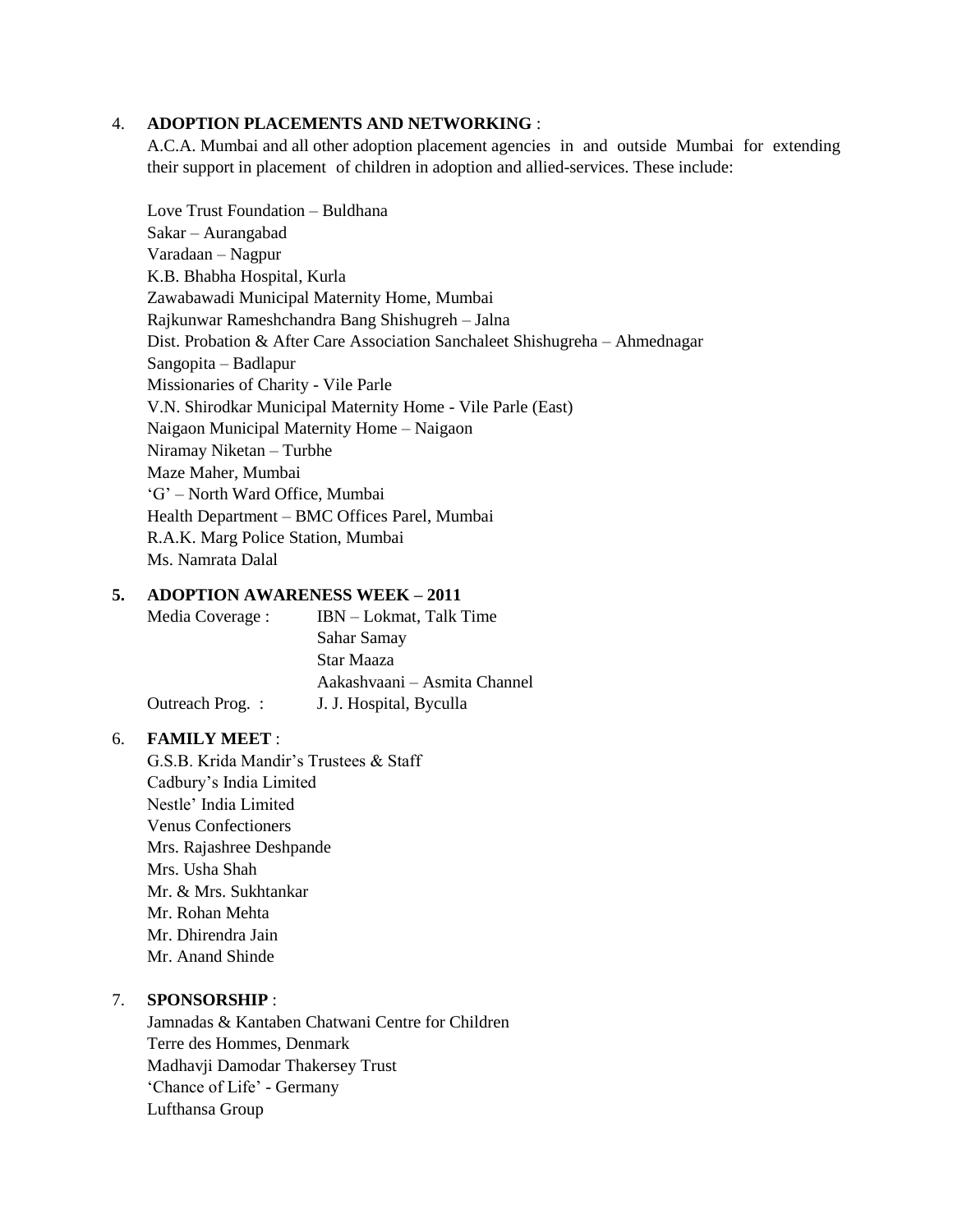#### 4. **ADOPTION PLACEMENTS AND NETWORKING** :

A.C.A. Mumbai and all other adoption placement agencies in and outside Mumbai for extending their support in placement of children in adoption and allied-services. These include:

Love Trust Foundation – Buldhana Sakar – Aurangabad Varadaan – Nagpur K.B. Bhabha Hospital, Kurla Zawabawadi Municipal Maternity Home, Mumbai Rajkunwar Rameshchandra Bang Shishugreh – Jalna Dist. Probation & After Care Association Sanchaleet Shishugreha – Ahmednagar Sangopita – Badlapur Missionaries of Charity - Vile Parle V.N. Shirodkar Municipal Maternity Home - Vile Parle (East) Naigaon Municipal Maternity Home – Naigaon Niramay Niketan – Turbhe Maze Maher, Mumbai 'G' – North Ward Office, Mumbai Health Department – BMC Offices Parel, Mumbai R.A.K. Marg Police Station, Mumbai Ms. Namrata Dalal

#### **5. ADOPTION AWARENESS WEEK – 2011**

| Media Coverage : | IBN - Lokmat, Talk Time      |
|------------------|------------------------------|
|                  | Sahar Samay                  |
|                  | Star Maaza                   |
|                  | Aakashvaani - Asmita Channel |
| Outreach Prog.:  | J. J. Hospital, Byculla      |
|                  |                              |

#### 6. **FAMILY MEET** :

G.S.B. Krida Mandir's Trustees & Staff Cadbury's India Limited Nestle' India Limited Venus Confectioners Mrs. Rajashree Deshpande Mrs. Usha Shah Mr. & Mrs. Sukhtankar Mr. Rohan Mehta Mr. Dhirendra Jain Mr. Anand Shinde

#### 7. **SPONSORSHIP** :

Jamnadas & Kantaben Chatwani Centre for Children Terre des Hommes, Denmark Madhavji Damodar Thakersey Trust 'Chance of Life' - Germany Lufthansa Group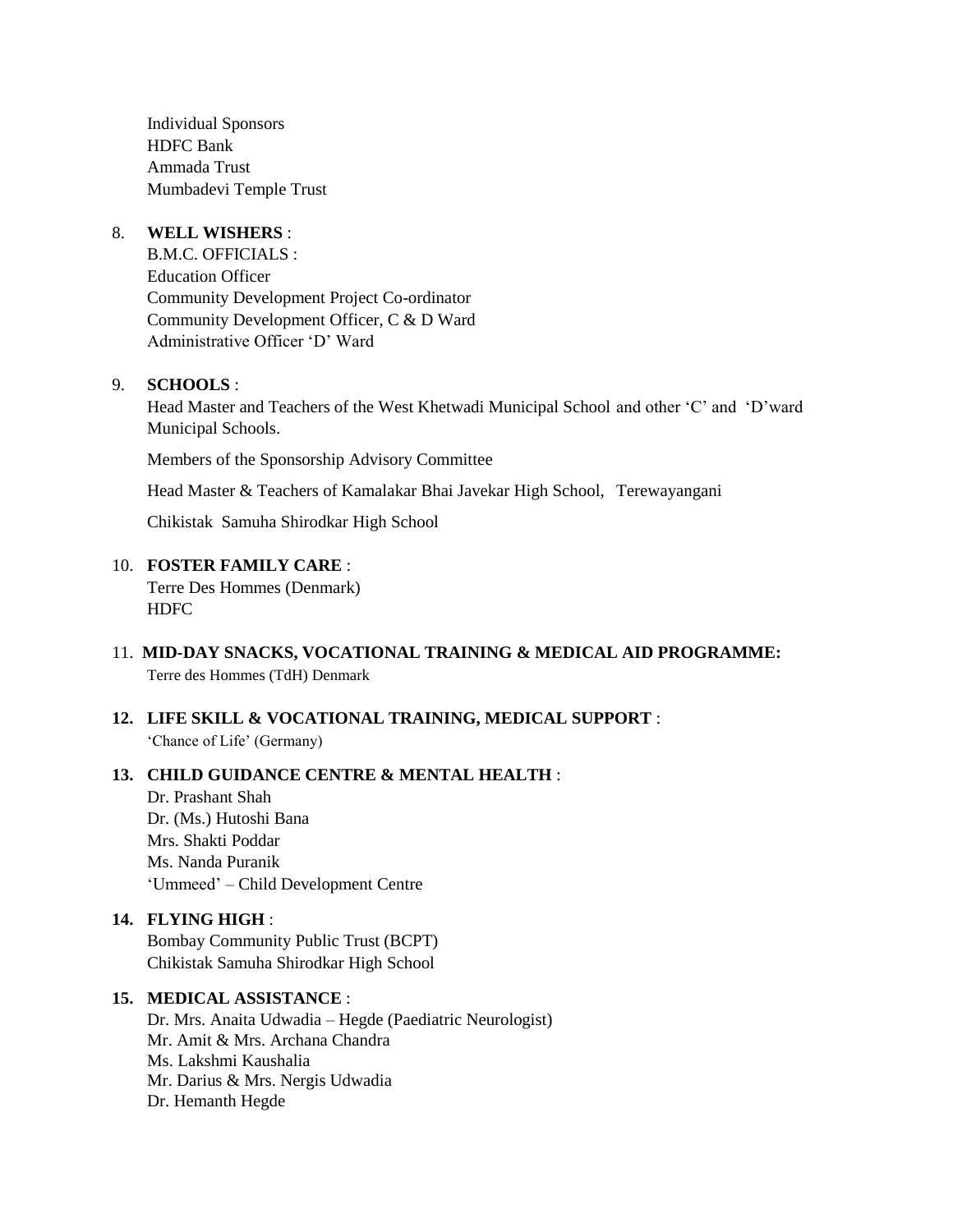Individual Sponsors HDFC Bank Ammada Trust Mumbadevi Temple Trust

#### 8. **WELL WISHERS** :

B.M.C. OFFICIALS : Education Officer Community Development Project Co-ordinator Community Development Officer, C & D Ward Administrative Officer 'D' Ward

#### 9. **SCHOOLS** :

Head Master and Teachers of the West Khetwadi Municipal School and other 'C' and 'D'ward Municipal Schools.

Members of the Sponsorship Advisory Committee

Head Master & Teachers of Kamalakar Bhai Javekar High School, Terewayangani

Chikistak Samuha Shirodkar High School

#### 10. **FOSTER FAMILY CARE** :

Terre Des Hommes (Denmark) HDFC

- 11. **MID-DAY SNACKS, VOCATIONAL TRAINING & MEDICAL AID PROGRAMME:** Terre des Hommes (TdH) Denmark
- **12. LIFE SKILL & VOCATIONAL TRAINING, MEDICAL SUPPORT** : 'Chance of Life' (Germany)

#### **13. CHILD GUIDANCE CENTRE & MENTAL HEALTH** :

Dr. Prashant Shah Dr. (Ms.) Hutoshi Bana Mrs. Shakti Poddar Ms. Nanda Puranik 'Ummeed' – Child Development Centre

#### **14. FLYING HIGH** :

Bombay Community Public Trust (BCPT) Chikistak Samuha Shirodkar High School

#### **15. MEDICAL ASSISTANCE** :

Dr. Mrs. Anaita Udwadia – Hegde (Paediatric Neurologist) Mr. Amit & Mrs. Archana Chandra Ms. Lakshmi Kaushalia Mr. Darius & Mrs. Nergis Udwadia Dr. Hemanth Hegde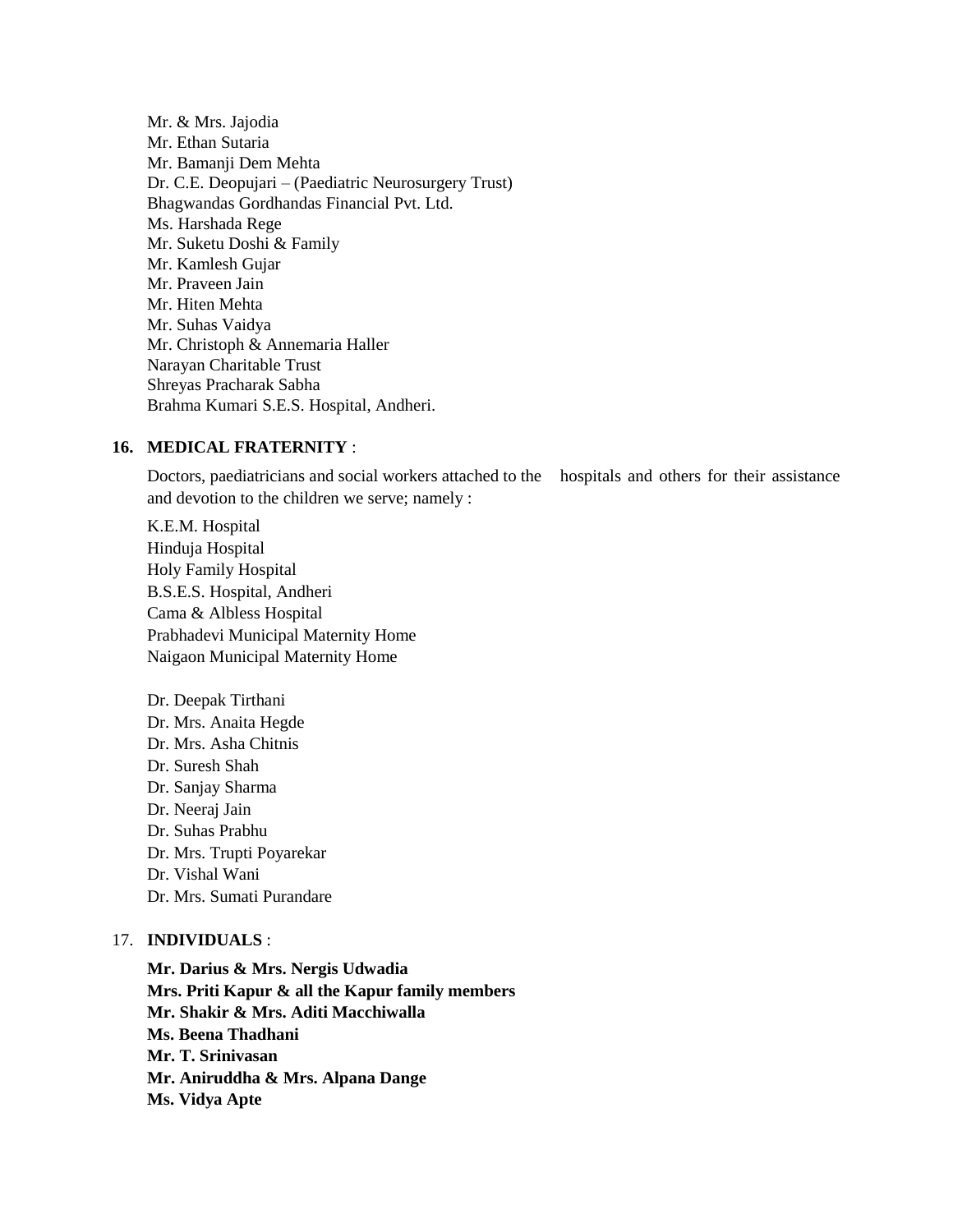Mr. & Mrs. Jajodia Mr. Ethan Sutaria Mr. Bamanji Dem Mehta Dr. C.E. Deopujari – (Paediatric Neurosurgery Trust) Bhagwandas Gordhandas Financial Pvt. Ltd. Ms. Harshada Rege Mr. Suketu Doshi & Family Mr. Kamlesh Gujar Mr. Praveen Jain Mr. Hiten Mehta Mr. Suhas Vaidya Mr. Christoph & Annemaria Haller Narayan Charitable Trust Shreyas Pracharak Sabha Brahma Kumari S.E.S. Hospital, Andheri.

#### **16. MEDICAL FRATERNITY** :

Doctors, paediatricians and social workers attached to the hospitals and others for their assistance and devotion to the children we serve; namely :

K.E.M. Hospital Hinduja Hospital Holy Family Hospital B.S.E.S. Hospital, Andheri Cama & Albless Hospital Prabhadevi Municipal Maternity Home Naigaon Municipal Maternity Home

Dr. Deepak Tirthani Dr. Mrs. Anaita Hegde Dr. Mrs. Asha Chitnis Dr. Suresh Shah Dr. Sanjay Sharma Dr. Neeraj Jain Dr. Suhas Prabhu Dr. Mrs. Trupti Poyarekar Dr. Vishal Wani Dr. Mrs. Sumati Purandare

#### 17. **INDIVIDUALS** :

**Mr. Darius & Mrs. Nergis Udwadia Mrs. Priti Kapur & all the Kapur family members Mr. Shakir & Mrs. Aditi Macchiwalla Ms. Beena Thadhani Mr. T. Srinivasan Mr. Aniruddha & Mrs. Alpana Dange Ms. Vidya Apte**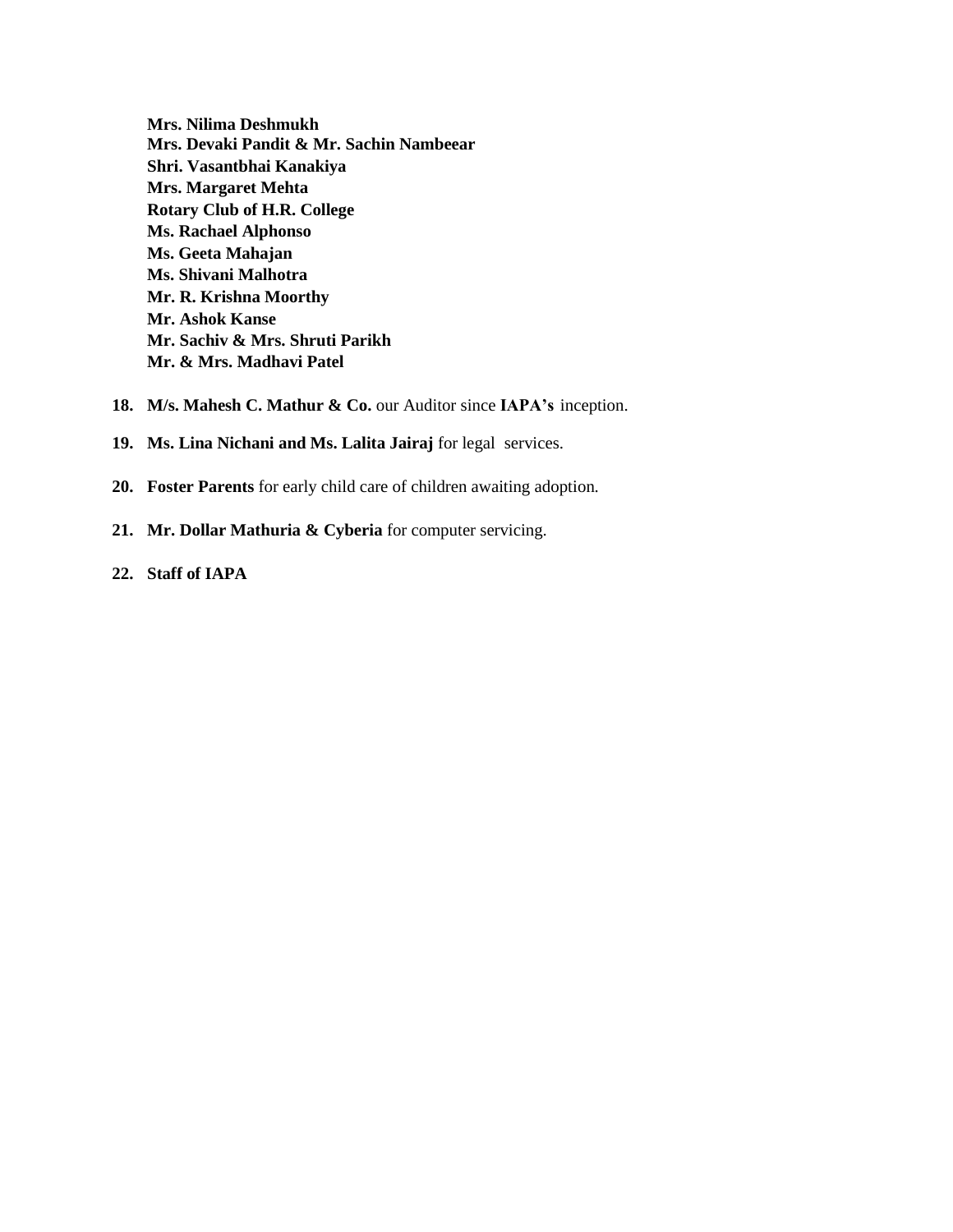**Mrs. Nilima Deshmukh Mrs. Devaki Pandit & Mr. Sachin Nambeear Shri. Vasantbhai Kanakiya Mrs. Margaret Mehta Rotary Club of H.R. College Ms. Rachael Alphonso Ms. Geeta Mahajan Ms. Shivani Malhotra Mr. R. Krishna Moorthy Mr. Ashok Kanse Mr. Sachiv & Mrs. Shruti Parikh Mr. & Mrs. Madhavi Patel**

- 18. M/s. Mahesh C. Mathur & Co. our Auditor since **IAPA's** inception.
- **19. Ms. Lina Nichani and Ms. Lalita Jairaj** for legal services.
- **20. Foster Parents** for early child care of children awaiting adoption.
- **21. Mr. Dollar Mathuria & Cyberia** for computer servicing.
- **22. Staff of IAPA**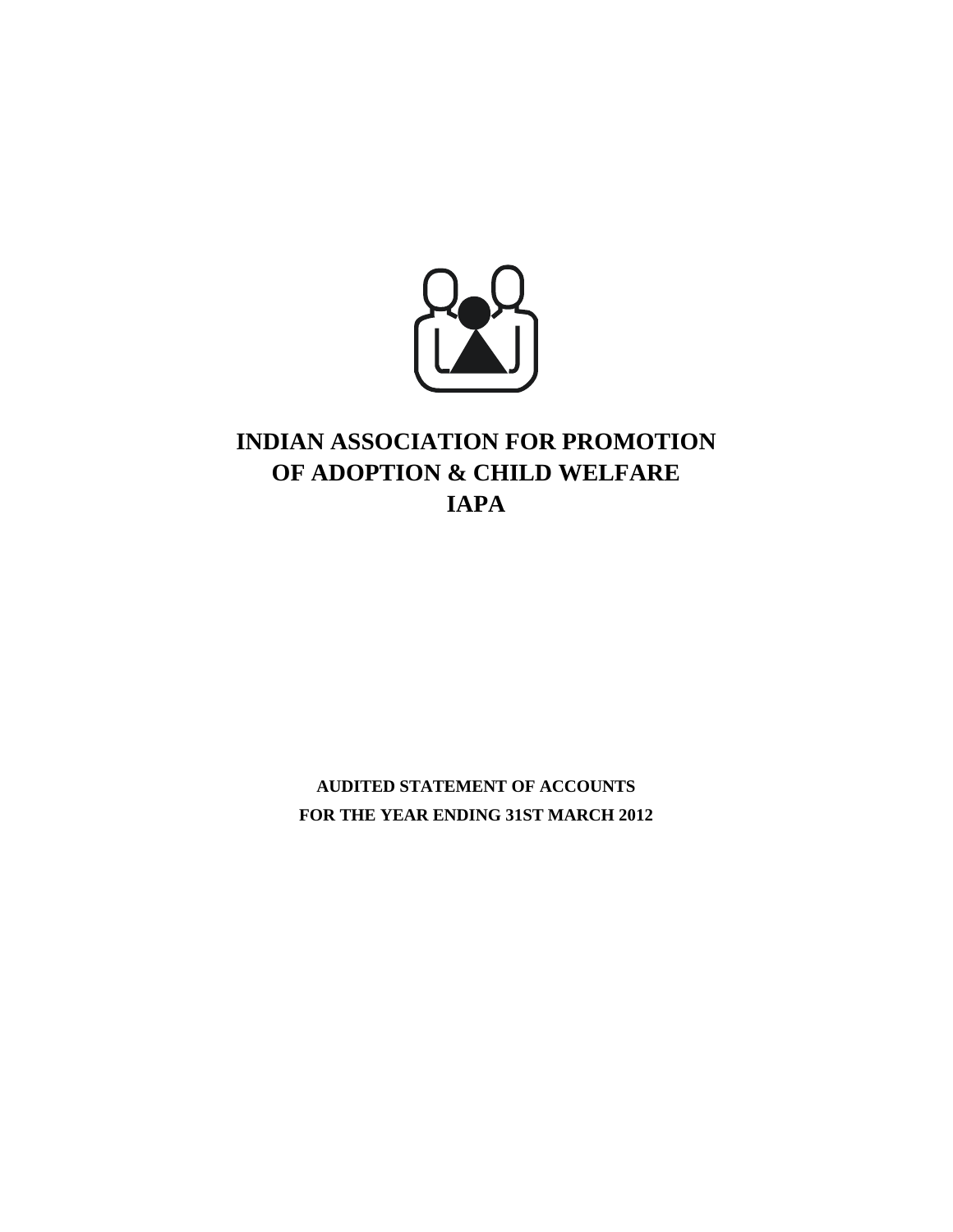

# **INDIAN ASSOCIATION FOR PROMOTION OF ADOPTION & CHILD WELFARE IAPA**

**AUDITED STATEMENT OF ACCOUNTS FOR THE YEAR ENDING 31ST MARCH 2012**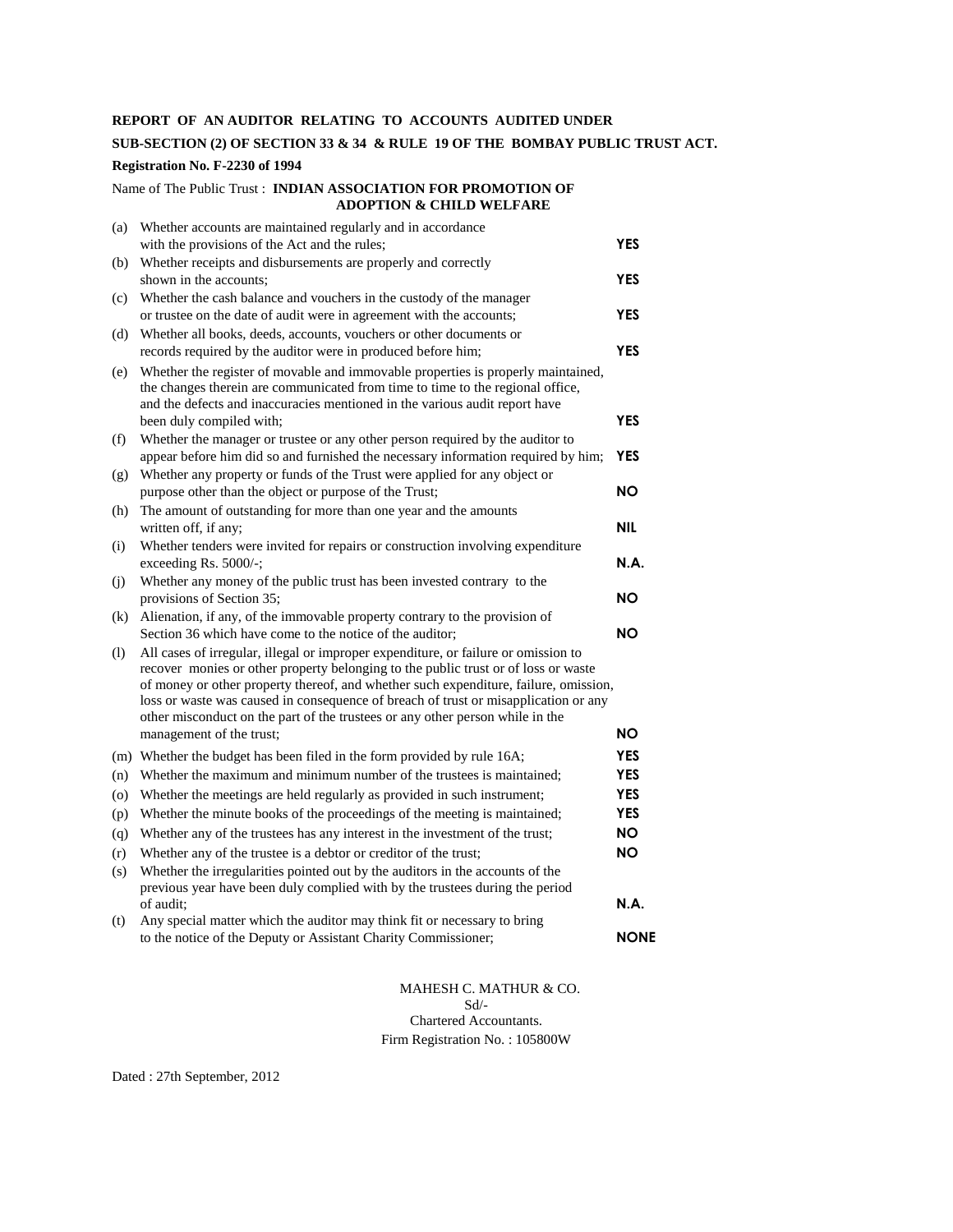#### **REPORT OF AN AUDITOR RELATING TO ACCOUNTS AUDITED UNDER**

#### **SUB-SECTION (2) OF SECTION 33 & 34 & RULE 19 OF THE BOMBAY PUBLIC TRUST ACT.**

#### **Registration No. F-2230 of 1994**

#### Name of The Public Trust : **INDIAN ASSOCIATION FOR PROMOTION OF ADOPTION & CHILD WELFARE**

| (a) | Whether accounts are maintained regularly and in accordance                                                                                                                                                                                                                                                                                                                                                                                                          |             |
|-----|----------------------------------------------------------------------------------------------------------------------------------------------------------------------------------------------------------------------------------------------------------------------------------------------------------------------------------------------------------------------------------------------------------------------------------------------------------------------|-------------|
|     | with the provisions of the Act and the rules;                                                                                                                                                                                                                                                                                                                                                                                                                        | <b>YES</b>  |
| (b) | Whether receipts and disbursements are properly and correctly                                                                                                                                                                                                                                                                                                                                                                                                        |             |
|     | shown in the accounts:                                                                                                                                                                                                                                                                                                                                                                                                                                               | <b>YES</b>  |
| (c) | Whether the cash balance and vouchers in the custody of the manager                                                                                                                                                                                                                                                                                                                                                                                                  |             |
|     | or trustee on the date of audit were in agreement with the accounts;                                                                                                                                                                                                                                                                                                                                                                                                 | <b>YES</b>  |
| (d) | Whether all books, deeds, accounts, vouchers or other documents or                                                                                                                                                                                                                                                                                                                                                                                                   |             |
|     | records required by the auditor were in produced before him;                                                                                                                                                                                                                                                                                                                                                                                                         | <b>YES</b>  |
| (e) | Whether the register of movable and immovable properties is properly maintained.<br>the changes therein are communicated from time to time to the regional office,<br>and the defects and inaccuracies mentioned in the various audit report have<br>been duly compiled with;                                                                                                                                                                                        | <b>YES</b>  |
| (f) | Whether the manager or trustee or any other person required by the auditor to                                                                                                                                                                                                                                                                                                                                                                                        |             |
| (g) | appear before him did so and furnished the necessary information required by him;<br>Whether any property or funds of the Trust were applied for any object or                                                                                                                                                                                                                                                                                                       | <b>YES</b>  |
|     | purpose other than the object or purpose of the Trust;                                                                                                                                                                                                                                                                                                                                                                                                               | NΟ          |
| (h) | The amount of outstanding for more than one year and the amounts                                                                                                                                                                                                                                                                                                                                                                                                     |             |
|     | written off, if any;                                                                                                                                                                                                                                                                                                                                                                                                                                                 | <b>NIL</b>  |
| (i) | Whether tenders were invited for repairs or construction involving expenditure                                                                                                                                                                                                                                                                                                                                                                                       |             |
|     | exceeding Rs. 5000/-;                                                                                                                                                                                                                                                                                                                                                                                                                                                | <b>N.A.</b> |
| (j) | Whether any money of the public trust has been invested contrary to the                                                                                                                                                                                                                                                                                                                                                                                              |             |
|     | provisions of Section 35;                                                                                                                                                                                                                                                                                                                                                                                                                                            | NΟ          |
| (k) | Alienation, if any, of the immovable property contrary to the provision of<br>Section 36 which have come to the notice of the auditor;                                                                                                                                                                                                                                                                                                                               | <b>NO</b>   |
| (1) | All cases of irregular, illegal or improper expenditure, or failure or omission to<br>recover monies or other property belonging to the public trust or of loss or waste<br>of money or other property thereof, and whether such expenditure, failure, omission,<br>loss or waste was caused in consequence of breach of trust or misapplication or any<br>other misconduct on the part of the trustees or any other person while in the<br>management of the trust; | <b>NO</b>   |
|     | (m) Whether the budget has been filed in the form provided by rule 16A;                                                                                                                                                                                                                                                                                                                                                                                              | <b>YES</b>  |
| (n) | Whether the maximum and minimum number of the trustees is maintained;                                                                                                                                                                                                                                                                                                                                                                                                | <b>YES</b>  |
| (o) | Whether the meetings are held regularly as provided in such instrument;                                                                                                                                                                                                                                                                                                                                                                                              | <b>YES</b>  |
| (p) | Whether the minute books of the proceedings of the meeting is maintained;                                                                                                                                                                                                                                                                                                                                                                                            | <b>YES</b>  |
| (q) | Whether any of the trustees has any interest in the investment of the trust;                                                                                                                                                                                                                                                                                                                                                                                         | NO.         |
| (r) | Whether any of the trustee is a debtor or creditor of the trust;                                                                                                                                                                                                                                                                                                                                                                                                     | <b>NO</b>   |
| (s) | Whether the irregularities pointed out by the auditors in the accounts of the                                                                                                                                                                                                                                                                                                                                                                                        |             |
|     | previous year have been duly complied with by the trustees during the period                                                                                                                                                                                                                                                                                                                                                                                         |             |
|     | of audit;                                                                                                                                                                                                                                                                                                                                                                                                                                                            | <b>N.A.</b> |
| (t) | Any special matter which the auditor may think fit or necessary to bring<br>to the notice of the Deputy or Assistant Charity Commissioner;                                                                                                                                                                                                                                                                                                                           | <b>NONE</b> |

MAHESH C. MATHUR & CO. Sd/- Chartered Accountants. Firm Registration No. : 105800W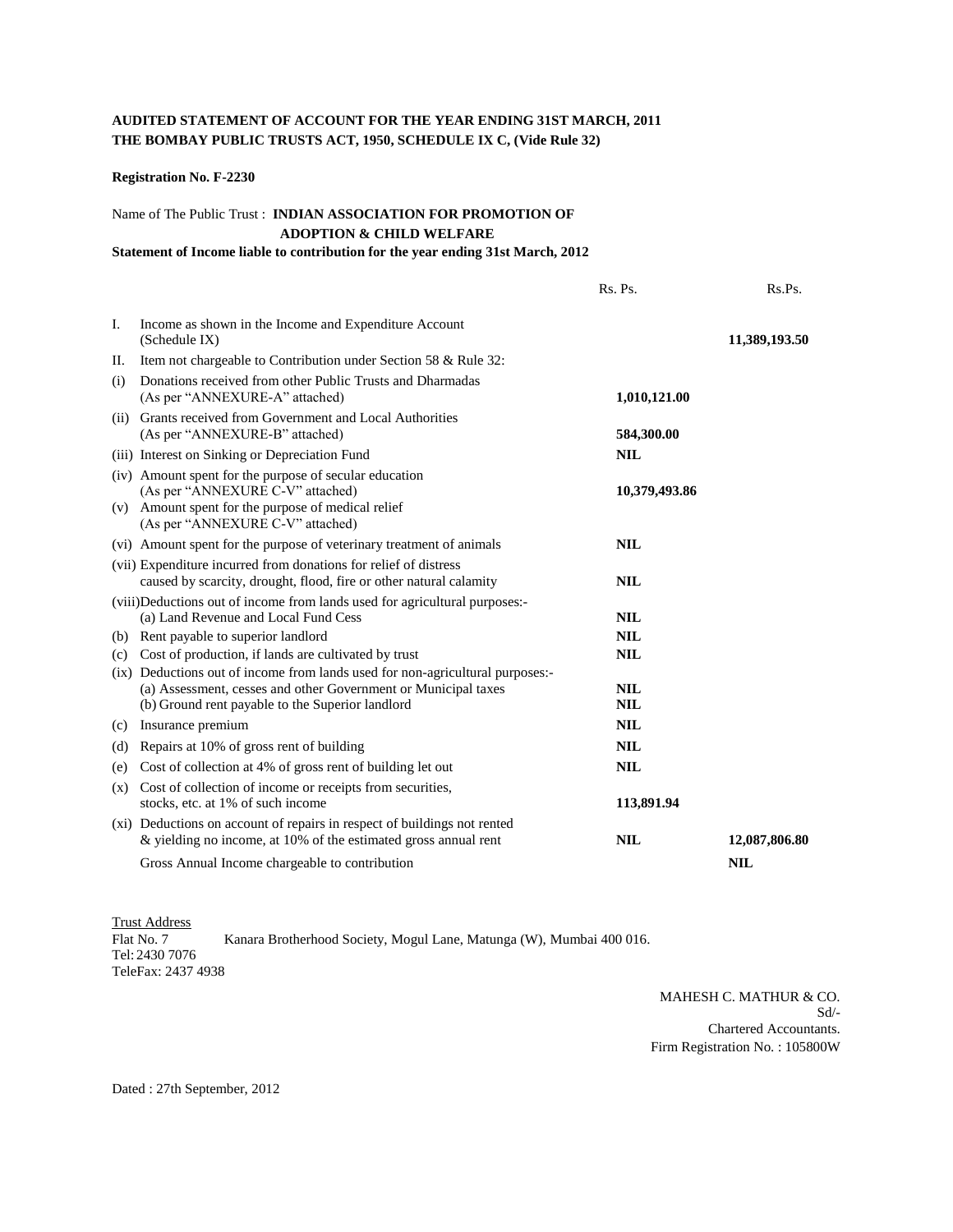#### **AUDITED STATEMENT OF ACCOUNT FOR THE YEAR ENDING 31ST MARCH, 2011 THE BOMBAY PUBLIC TRUSTS ACT, 1950, SCHEDULE IX C, (Vide Rule 32)**

#### **Registration No. F-2230**

#### Name of The Public Trust : **INDIAN ASSOCIATION FOR PROMOTION OF ADOPTION & CHILD WELFARE**

#### **Statement of Income liable to contribution for the year ending 31st March, 2012**

|     |                                                                                                                                                                                                     | Rs. Ps.                  | Rs.Ps.        |
|-----|-----------------------------------------------------------------------------------------------------------------------------------------------------------------------------------------------------|--------------------------|---------------|
| I.  | Income as shown in the Income and Expenditure Account<br>(Schedule IX)                                                                                                                              |                          | 11,389,193.50 |
| П.  | Item not chargeable to Contribution under Section 58 & Rule 32:                                                                                                                                     |                          |               |
| (i) | Donations received from other Public Trusts and Dharmadas<br>(As per "ANNEXURE-A" attached)                                                                                                         | 1,010,121.00             |               |
|     | (ii) Grants received from Government and Local Authorities<br>(As per "ANNEXURE-B" attached)                                                                                                        | 584,300.00               |               |
|     | (iii) Interest on Sinking or Depreciation Fund                                                                                                                                                      | <b>NIL</b>               |               |
|     | (iv) Amount spent for the purpose of secular education<br>(As per "ANNEXURE C-V" attached)<br>(v) Amount spent for the purpose of medical relief<br>(As per "ANNEXURE C-V" attached)                | 10,379,493.86            |               |
|     | (vi) Amount spent for the purpose of veterinary treatment of animals                                                                                                                                | <b>NIL</b>               |               |
|     | (vii) Expenditure incurred from donations for relief of distress<br>caused by scarcity, drought, flood, fire or other natural calamity                                                              | <b>NIL</b>               |               |
|     | (viii)Deductions out of income from lands used for agricultural purposes:-<br>(a) Land Revenue and Local Fund Cess                                                                                  | <b>NIL</b>               |               |
| (b) | Rent payable to superior landlord                                                                                                                                                                   | <b>NIL</b>               |               |
| (c) | Cost of production, if lands are cultivated by trust                                                                                                                                                | <b>NIL</b>               |               |
|     | (ix) Deductions out of income from lands used for non-agricultural purposes:-<br>(a) Assessment, cesses and other Government or Municipal taxes<br>(b) Ground rent payable to the Superior landlord | <b>NIL</b><br><b>NIL</b> |               |
| (c) | Insurance premium                                                                                                                                                                                   | <b>NIL</b>               |               |
| (d) | Repairs at 10% of gross rent of building                                                                                                                                                            | <b>NIL</b>               |               |
| (e) | Cost of collection at 4% of gross rent of building let out                                                                                                                                          | <b>NIL</b>               |               |
|     | (x) Cost of collection of income or receipts from securities,<br>stocks, etc. at 1% of such income                                                                                                  | 113,891.94               |               |
|     | (xi) Deductions on account of repairs in respect of buildings not rented<br>$\&$ yielding no income, at 10% of the estimated gross annual rent                                                      | <b>NIL</b>               | 12,087,806.80 |
|     | Gross Annual Income chargeable to contribution                                                                                                                                                      |                          | <b>NIL</b>    |

Trust Address Flat No. 7 Kanara Brotherhood Society, Mogul Lane, Matunga (W), Mumbai 400 016. Tel: 2430 7076 TeleFax: 2437 4938

> MAHESH C. MATHUR & CO. Sd/- Chartered Accountants. Firm Registration No. : 105800W

Dated : 27th September, 2012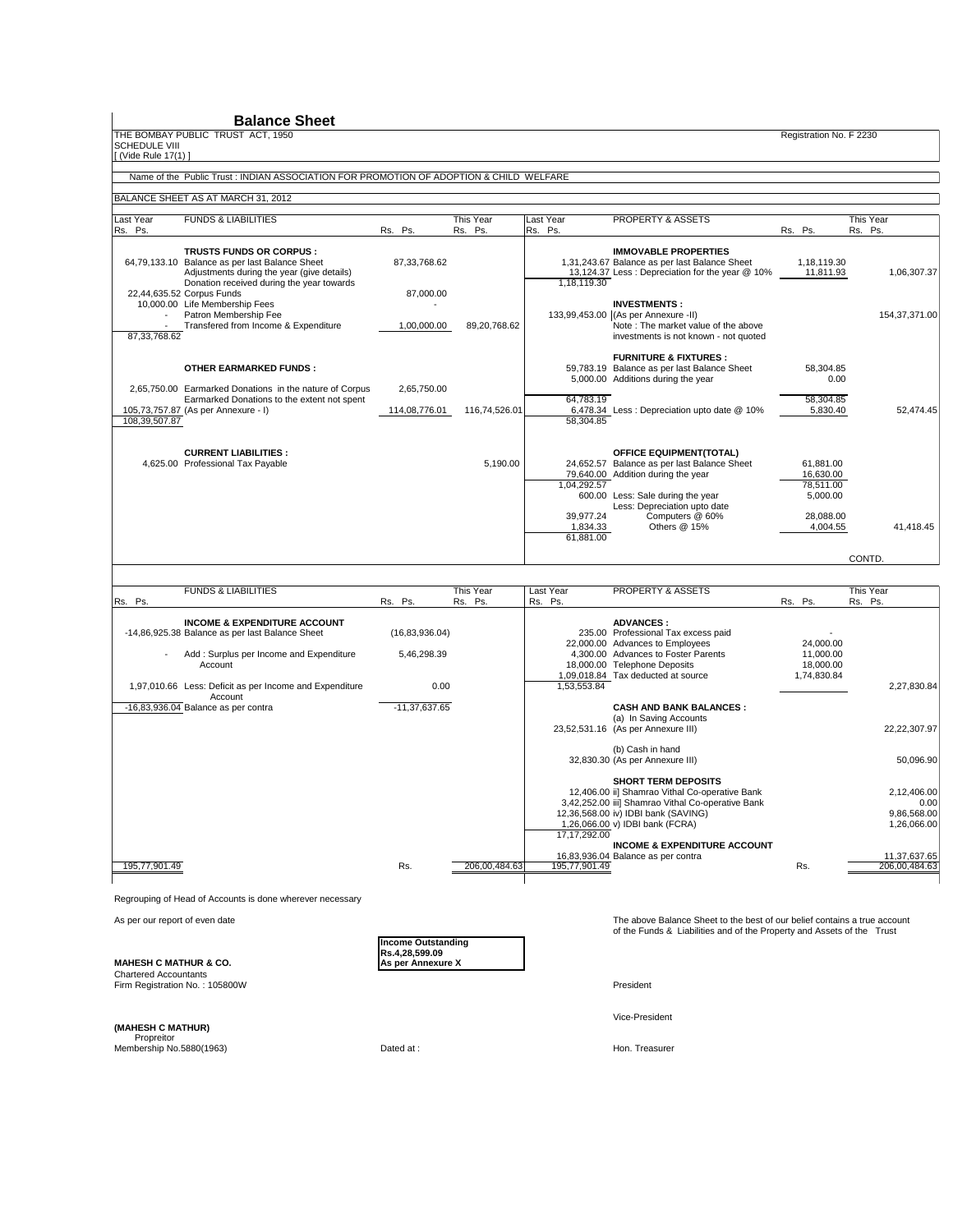THE BOMBAY PUBLIC TRUST ACT, 1950<br>
THE BOMBAY PUBLIC TRUST ACT, 1950

SCHEDULE VIII [ (Vide Rule 17(1) ]

#### Name of the Public Trust : INDIAN ASSOCIATION FOR PROMOTION OF ADOPTION & CHILD WELFARE

BALANCE SHEET AS AT MARCH 31, 2012

| Last Year                        | <b>FUNDS &amp; LIABILITIES</b>                                                                                                                                                                                                                                                                        |                                             | This Year     | Last Year                                         | PROPERTY & ASSETS                                                                                                                                                                                                                    |         |                                                                          | This Year                    |
|----------------------------------|-------------------------------------------------------------------------------------------------------------------------------------------------------------------------------------------------------------------------------------------------------------------------------------------------------|---------------------------------------------|---------------|---------------------------------------------------|--------------------------------------------------------------------------------------------------------------------------------------------------------------------------------------------------------------------------------------|---------|--------------------------------------------------------------------------|------------------------------|
| Rs. Ps.                          |                                                                                                                                                                                                                                                                                                       | Rs. Ps.                                     | Rs. Ps.       | Rs. Ps.                                           |                                                                                                                                                                                                                                      | Rs. Ps. |                                                                          | Rs. Ps.                      |
|                                  | TRUSTS FUNDS OR CORPUS :<br>64,79,133.10 Balance as per last Balance Sheet<br>Adjustments during the year (give details)<br>Donation received during the year towards<br>22,44,635.52 Corpus Funds<br>10,000.00 Life Membership Fees<br>Patron Membership Fee<br>Transfered from Income & Expenditure | 87, 33, 768. 62<br>87,000.00<br>1,00,000.00 | 89,20,768.62  | 1,18,119.30                                       | <b>IMMOVABLE PROPERTIES</b><br>1,31,243.67 Balance as per last Balance Sheet<br>13,124.37 Less: Depreciation for the year @ 10%<br><b>INVESTMENTS:</b><br>133,99,453.00 (As per Annexure -II)<br>Note: The market value of the above |         | 1,18,119.30<br>11,811.93                                                 | 1,06,307.37<br>154,37,371.00 |
| 87, 33, 768. 62<br>108,39,507.87 | <b>OTHER EARMARKED FUNDS:</b><br>2,65,750.00 Earmarked Donations in the nature of Corpus<br>Earmarked Donations to the extent not spent<br>105,73,757.87 (As per Annexure - I)                                                                                                                        | 2,65,750.00<br>114,08,776.01                | 116,74,526.01 | 64.783.19<br>58,304.85                            | investments is not known - not quoted<br><b>FURNITURE &amp; FIXTURES:</b><br>59,783.19 Balance as per last Balance Sheet<br>5,000.00 Additions during the year<br>6,478.34 Less : Depreciation upto date @ 10%                       |         | 58,304.85<br>0.00<br>58.304.85<br>5,830.40                               | 52.474.45                    |
|                                  | <b>CURRENT LIABILITIES:</b><br>4,625.00 Professional Tax Payable                                                                                                                                                                                                                                      |                                             | 5,190.00      | 1.04.292.57<br>39.977.24<br>1,834.33<br>61,881.00 | <b>OFFICE EQUIPMENT(TOTAL)</b><br>24,652.57 Balance as per last Balance Sheet<br>79,640.00 Addition during the year<br>600.00 Less: Sale during the year<br>Less: Depreciation upto date<br>Computers @ 60%<br>Others @ 15%          |         | 61.881.00<br>16,630.00<br>78.511.00<br>5,000.00<br>28.088.00<br>4,004.55 | 41.418.45<br>CONTD.          |

|               | <b>FUNDS &amp; LIABILITIES</b>                                     |                  | This Year     | Last Year     | PROPERTY & ASSETS                                 |             | This Year |               |
|---------------|--------------------------------------------------------------------|------------------|---------------|---------------|---------------------------------------------------|-------------|-----------|---------------|
| Rs. Ps.       |                                                                    | Rs. Ps.          | Rs. Ps.       | Rs. Ps.       |                                                   | Rs. Ps.     | Rs. Ps.   |               |
|               | <b>INCOME &amp; EXPENDITURE ACCOUNT</b>                            |                  |               |               | <b>ADVANCES:</b>                                  |             |           |               |
|               | -14,86,925.38 Balance as per last Balance Sheet                    | (16, 83, 936.04) |               |               | 235.00 Professional Tax excess paid               |             |           |               |
|               |                                                                    |                  |               |               | 22,000.00 Advances to Employees                   | 24,000.00   |           |               |
|               | Add: Surplus per Income and Expenditure                            | 5,46,298.39      |               |               | 4.300.00 Advances to Foster Parents               | 11,000.00   |           |               |
|               | Account                                                            |                  |               |               | 18,000.00 Telephone Deposits                      | 18,000.00   |           |               |
|               |                                                                    |                  |               |               | 1,09,018.84 Tax deducted at source                | 1,74,830.84 |           |               |
|               | 1,97,010.66 Less: Deficit as per Income and Expenditure<br>Account | 0.00             |               | 1,53,553.84   |                                                   |             |           | 2,27,830.84   |
|               | $-16,83,936.04$ Balance as per contra                              | $-11,37,637.65$  |               |               | <b>CASH AND BANK BALANCES:</b>                    |             |           |               |
|               |                                                                    |                  |               |               | (a) In Saving Accounts                            |             |           |               |
|               |                                                                    |                  |               |               | 23,52,531.16 (As per Annexure III)                |             |           | 22,22,307.97  |
|               |                                                                    |                  |               |               | (b) Cash in hand                                  |             |           |               |
|               |                                                                    |                  |               |               | 32,830.30 (As per Annexure III)                   |             |           | 50,096.90     |
|               |                                                                    |                  |               |               | <b>SHORT TERM DEPOSITS</b>                        |             |           |               |
|               |                                                                    |                  |               |               | 12,406.00 ii] Shamrao Vithal Co-operative Bank    |             |           | 2,12,406.00   |
|               |                                                                    |                  |               |               | 3,42,252.00 iii] Shamrao Vithal Co-operative Bank |             |           | 0.00          |
|               |                                                                    |                  |               |               | 12,36,568.00 iv) IDBI bank (SAVING)               |             |           | 9,86,568.00   |
|               |                                                                    |                  |               |               | 1,26,066.00 v) IDBI bank (FCRA)                   |             |           | 1,26,066.00   |
|               |                                                                    |                  |               | 17,17,292.00  |                                                   |             |           |               |
|               |                                                                    |                  |               |               | <b>INCOME &amp; EXPENDITURE ACCOUNT</b>           |             |           |               |
|               |                                                                    |                  |               |               | 16,83,936.04 Balance as per contra                |             |           | 11,37,637.65  |
| 195,77,901.49 |                                                                    | Rs.              | 206,00,484.63 | 195,77,901.49 |                                                   | Rs.         |           | 206,00,484.63 |
|               |                                                                    |                  |               |               |                                                   |             |           |               |

Regrouping of Head of Accounts is done wherever necessary

**MAHESH C MATHUR & CO.** 

**Income Outstanding Rs.4,28,599.09**

As per our report of even date<br>
of the Funds & Liabilities and of the Property and Assets of the Trust<br>
of the Funds & Liabilities and of the Property and Assets of the Trust

Chartered Accountants Firm Registration No. : 105800W President

Vice-President

**(MAHESH C MATHUR)**

Propreitor<br>Membership No.5880(1963) Dated at : Hon. Treasurer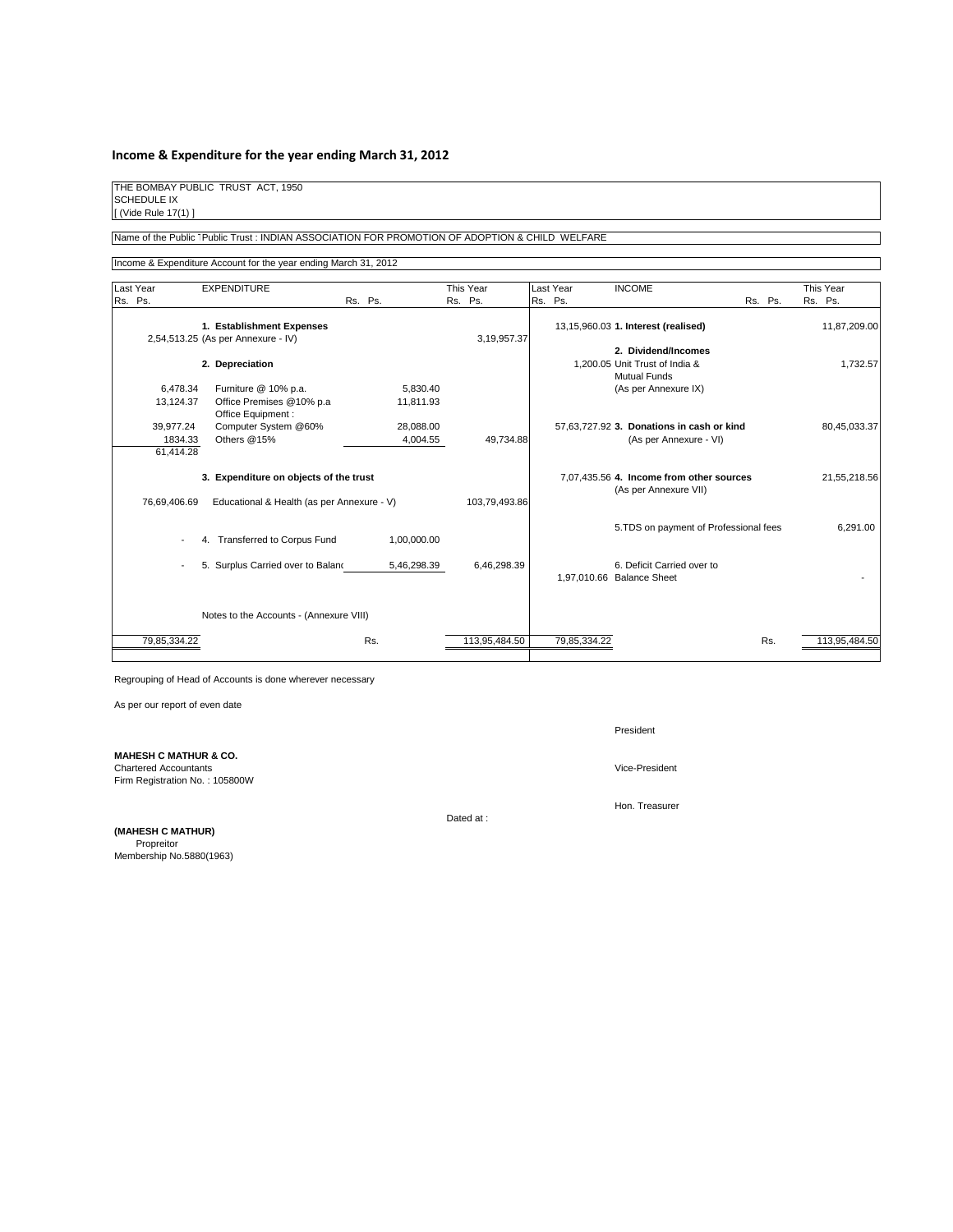#### **Income & Expenditure for the year ending March 31, 2012**

THE BOMBAY PUBLIC TRUST ACT, 1950 SCHEDULE IX [ (Vide Rule 17(1) ]

Name of the Public TPublic Trust : INDIAN ASSOCIATION FOR PROMOTION OF ADOPTION & CHILD WELFARE

Income & Expenditure Account for the year ending March 31, 2012

|         | Last Year                         |    | <b>EXPENDITURE</b>                                                                   |         |     |                       |         | This Year     | Last Year    | <b>INCOME</b>                                                         | This Year     |
|---------|-----------------------------------|----|--------------------------------------------------------------------------------------|---------|-----|-----------------------|---------|---------------|--------------|-----------------------------------------------------------------------|---------------|
| Rs. Ps. |                                   |    |                                                                                      | Rs. Ps. |     |                       | Rs. Ps. |               | Rs. Ps.      | Rs. Ps.                                                               | Rs. Ps.       |
|         |                                   |    | 1. Establishment Expenses<br>2,54,513.25 (As per Annexure - IV)                      |         |     |                       |         | 3,19,957.37   |              | 13,15,960.03 1. Interest (realised)                                   | 11,87,209.00  |
|         |                                   |    | 2. Depreciation                                                                      |         |     |                       |         |               |              | 2. Dividend/Incomes<br>1,200.05 Unit Trust of India &<br>Mutual Funds | 1,732.57      |
|         | 6,478.34<br>13,124.37             |    | Furniture @ 10% p.a.<br>Office Premises @10% p.a<br>Office Equipment:                |         |     | 5,830.40<br>11,811.93 |         |               |              | (As per Annexure IX)                                                  |               |
|         | 39.977.24<br>1834.33<br>61.414.28 |    | Computer System @60%<br>Others @15%                                                  |         |     | 28,088.00<br>4,004.55 |         | 49,734.88     |              | 57,63,727.92 3. Donations in cash or kind<br>(As per Annexure - VI)   | 80,45,033.37  |
|         | 76,69,406.69                      |    | 3. Expenditure on objects of the trust<br>Educational & Health (as per Annexure - V) |         |     |                       |         | 103,79,493.86 |              | 7,07,435.56 4. Income from other sources<br>(As per Annexure VII)     | 21,55,218.56  |
|         |                                   | 4. | <b>Transferred to Corpus Fund</b>                                                    |         |     | 1,00,000.00           |         |               |              | 5. TDS on payment of Professional fees                                | 6,291.00      |
|         |                                   |    | 5. Surplus Carried over to Baland                                                    |         |     | 5,46,298.39           |         | 6,46,298.39   |              | 6. Deficit Carried over to<br>1,97,010.66 Balance Sheet               |               |
|         |                                   |    | Notes to the Accounts - (Annexure VIII)                                              |         |     |                       |         |               |              |                                                                       |               |
|         | 79,85,334.22                      |    |                                                                                      |         | Rs. |                       |         | 113,95,484.50 | 79,85,334.22 | Rs.                                                                   | 113,95,484.50 |

Regrouping of Head of Accounts is done wherever necessary

As per our report of even date

**MAHESH C MATHUR & CO.** Chartered Accountants Vice-President

Firm Registration No. : 105800W

Dated at :

**(MAHESH C MATHUR)** Propreitor Membership No.5880(1963) President

Hon. Treasurer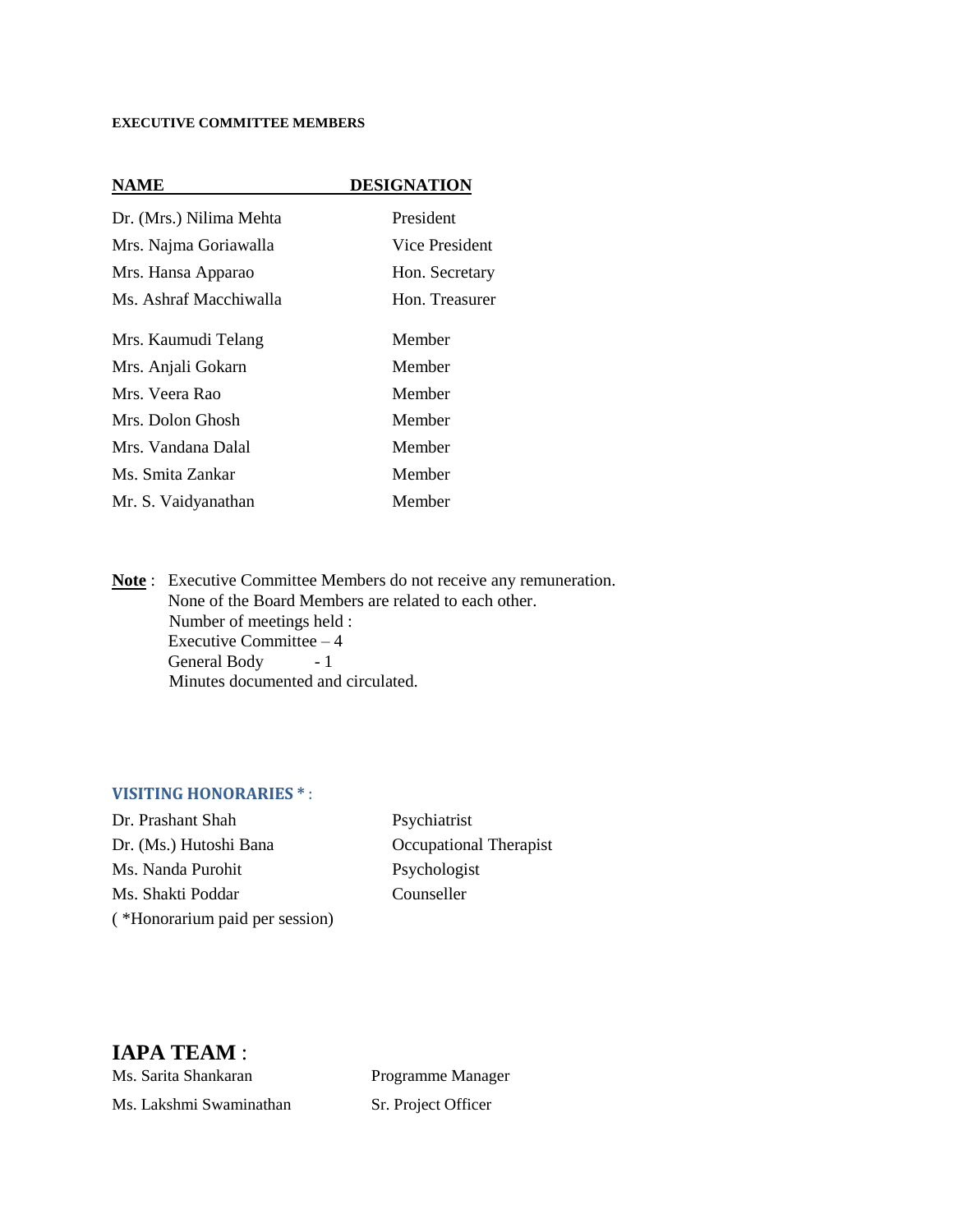#### **EXECUTIVE COMMITTEE MEMBERS**

#### **NAME DESIGNATION**

| Dr. (Mrs.) Nilima Mehta | President      |
|-------------------------|----------------|
| Mrs. Najma Goriawalla   | Vice President |
| Mrs. Hansa Apparao      | Hon. Secretary |
| Ms. Ashraf Macchiwalla  | Hon. Treasurer |
| Mrs. Kaumudi Telang     | Member         |
| Mrs. Anjali Gokarn      | Member         |
| Mrs. Veera Rao          | Member         |
| Mrs. Dolon Ghosh        | Member         |
| Mrs. Vandana Dalal      | Member         |
| Ms. Smita Zankar        | Member         |
| Mr. S. Vaidyanathan     | Member         |

**Note** : Executive Committee Members do not receive any remuneration. None of the Board Members are related to each other. Number of meetings held : Executive Committee – 4 General Body - 1 Minutes documented and circulated.

#### **VISITING HONORARIES \*** :

Dr. Prashant Shah Psychiatrist Dr. (Ms.) Hutoshi Bana Occupational Therapist Ms. Nanda Purohit Psychologist Ms. Shakti Poddar Counseller ( \*Honorarium paid per session)

#### **IAPA TEAM** :

Ms. Sarita Shankaran Programme Manager Ms. Lakshmi Swaminathan Sr. Project Officer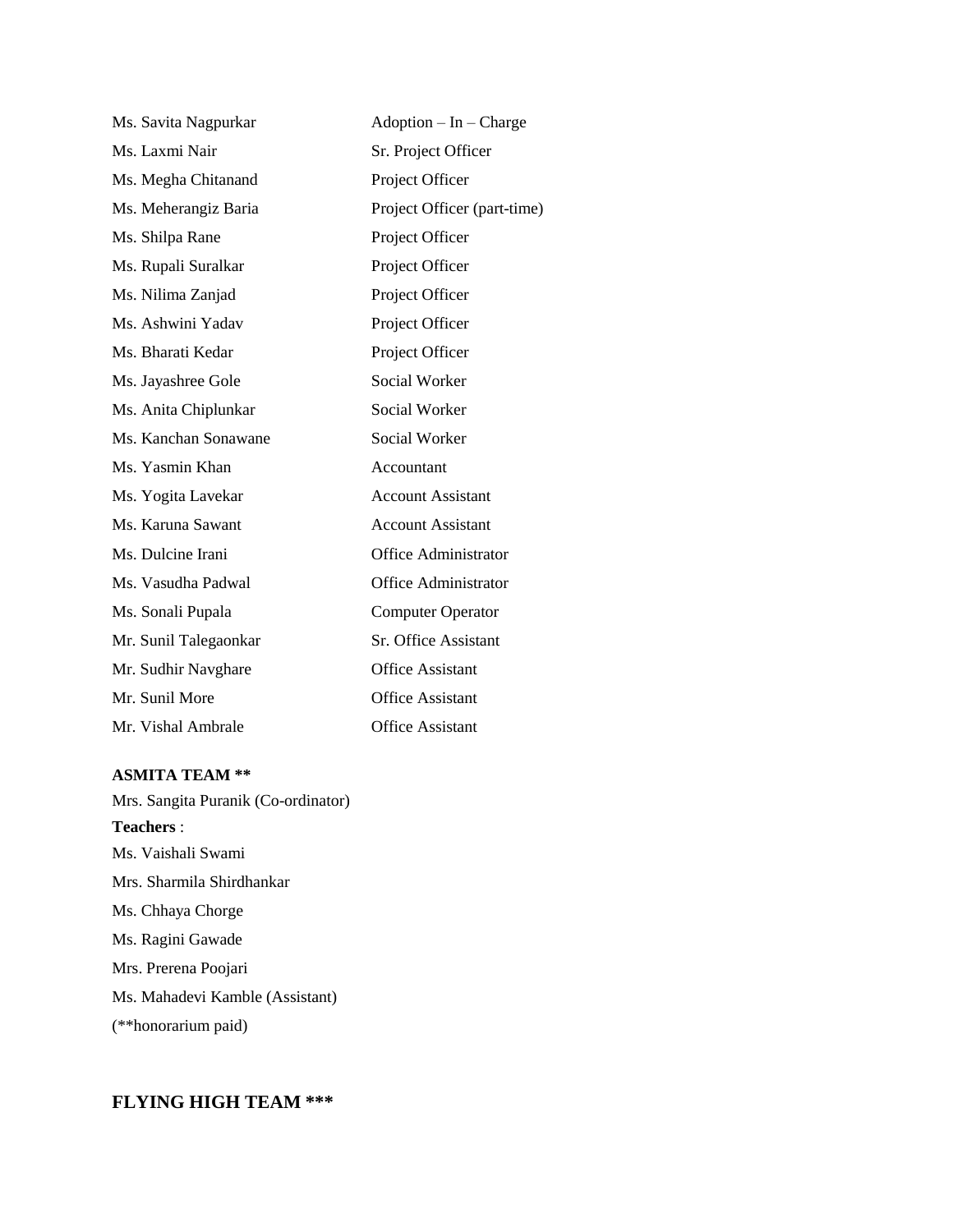| Ms. Savita Nagpurkar  | $Adoption - In - Charge$    |
|-----------------------|-----------------------------|
| Ms. Laxmi Nair        | Sr. Project Officer         |
| Ms. Megha Chitanand   | Project Officer             |
| Ms. Meherangiz Baria  | Project Officer (part-time) |
| Ms. Shilpa Rane       | Project Officer             |
| Ms. Rupali Suralkar   | Project Officer             |
| Ms. Nilima Zanjad     | Project Officer             |
| Ms. Ashwini Yadav     | Project Officer             |
| Ms. Bharati Kedar     | Project Officer             |
| Ms. Jayashree Gole    | <b>Social Worker</b>        |
| Ms. Anita Chiplunkar  | Social Worker               |
| Ms. Kanchan Sonawane  | Social Worker               |
| Ms. Yasmin Khan       | Accountant                  |
| Ms. Yogita Lavekar    | <b>Account Assistant</b>    |
| Ms. Karuna Sawant     | <b>Account Assistant</b>    |
| Ms. Dulcine Irani     | <b>Office Administrator</b> |
| Ms. Vasudha Padwal    | <b>Office Administrator</b> |
| Ms. Sonali Pupala     | <b>Computer Operator</b>    |
| Mr. Sunil Talegaonkar | Sr. Office Assistant        |
| Mr. Sudhir Navghare   | <b>Office Assistant</b>     |
| Mr. Sunil More        | <b>Office Assistant</b>     |
| Mr. Vishal Ambrale    | Office Assistant            |

#### **ASMITA TEAM \*\***

Mrs. Sangita Puranik (Co-ordinator) **Teachers** : Ms. Vaishali Swami Mrs. Sharmila Shirdhankar Ms. Chhaya Chorge Ms. Ragini Gawade Mrs. Prerena Poojari Ms. Mahadevi Kamble (Assistant) (\*\*honorarium paid)

#### **FLYING HIGH TEAM \*\*\***